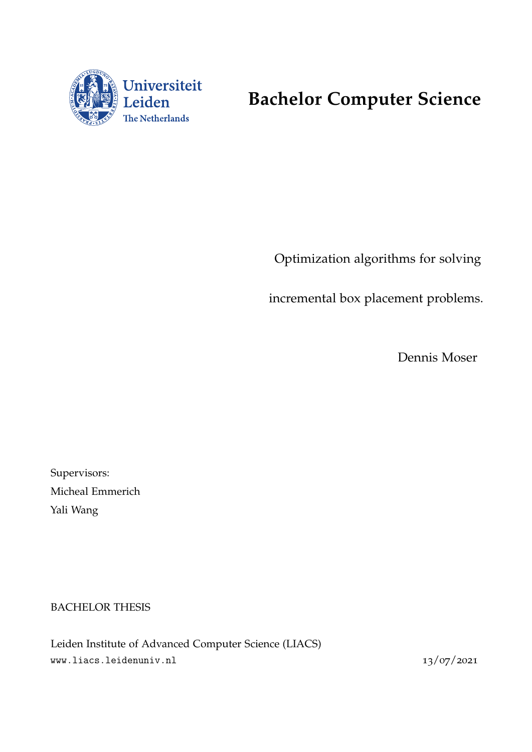

# **Bachelor Computer Science**

Optimization algorithms for solving

incremental box placement problems.

Dennis Moser

Supervisors: Micheal Emmerich Yali Wang

BACHELOR THESIS

Leiden Institute of Advanced Computer Science (LIACS) www.liacs.leidenuniv.nl  $13/07/2021$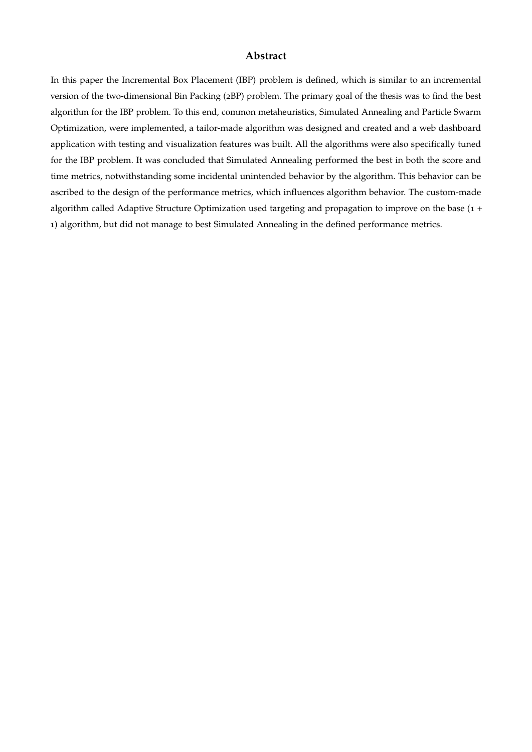### **Abstract**

In this paper the Incremental Box Placement (IBP) problem is defined, which is similar to an incremental version of the two-dimensional Bin Packing (2BP) problem. The primary goal of the thesis was to find the best algorithm for the IBP problem. To this end, common metaheuristics, Simulated Annealing and Particle Swarm Optimization, were implemented, a tailor-made algorithm was designed and created and a web dashboard application with testing and visualization features was built. All the algorithms were also specifically tuned for the IBP problem. It was concluded that Simulated Annealing performed the best in both the score and time metrics, notwithstanding some incidental unintended behavior by the algorithm. This behavior can be ascribed to the design of the performance metrics, which influences algorithm behavior. The custom-made algorithm called Adaptive Structure Optimization used targeting and propagation to improve on the base (1 + 1) algorithm, but did not manage to best Simulated Annealing in the defined performance metrics.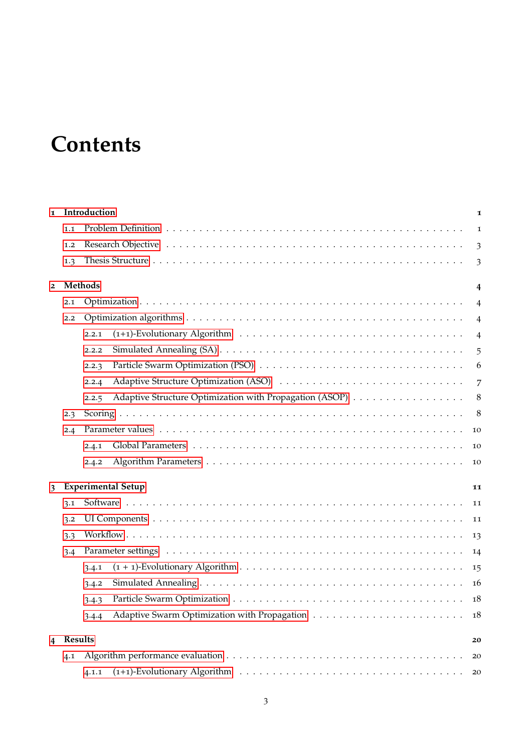# **Contents**

| $\mathbf{I}$   |                | Introduction                                                     | 1              |  |  |  |  |  |  |
|----------------|----------------|------------------------------------------------------------------|----------------|--|--|--|--|--|--|
|                | 1.1            |                                                                  | 1              |  |  |  |  |  |  |
|                | 1.2            |                                                                  |                |  |  |  |  |  |  |
|                | 1.3            |                                                                  | 3              |  |  |  |  |  |  |
| $\overline{2}$ |                | <b>Methods</b>                                                   | $\overline{4}$ |  |  |  |  |  |  |
|                | 2.1            |                                                                  | $\overline{4}$ |  |  |  |  |  |  |
|                | 2.2            |                                                                  | $\overline{4}$ |  |  |  |  |  |  |
|                |                | 2.2.1                                                            | $\overline{4}$ |  |  |  |  |  |  |
|                |                | 2.2.2                                                            | 5              |  |  |  |  |  |  |
|                |                | 2.2.3                                                            | 6              |  |  |  |  |  |  |
|                |                | 2.2.4                                                            | 7              |  |  |  |  |  |  |
|                |                | Adaptive Structure Optimization with Propagation (ASOP)<br>2.2.5 | 8              |  |  |  |  |  |  |
|                | 2.3            |                                                                  | 8              |  |  |  |  |  |  |
|                | 2.4            |                                                                  | 10             |  |  |  |  |  |  |
|                |                | 2.4.1                                                            | 10             |  |  |  |  |  |  |
|                |                | 2.4.2                                                            | 10             |  |  |  |  |  |  |
| 3              |                | <b>Experimental Setup</b>                                        | 11             |  |  |  |  |  |  |
|                | 3.1            |                                                                  | 11             |  |  |  |  |  |  |
|                | 3.2            |                                                                  | 11             |  |  |  |  |  |  |
|                | 3.3            |                                                                  | 13             |  |  |  |  |  |  |
|                | 3.4            |                                                                  | 14             |  |  |  |  |  |  |
|                |                | 3.4.1                                                            | 15             |  |  |  |  |  |  |
|                |                | 3.4.2                                                            | 16             |  |  |  |  |  |  |
|                |                | 3.4.3                                                            | 18             |  |  |  |  |  |  |
|                |                | 3.4.4                                                            | 18             |  |  |  |  |  |  |
| 4              | <b>Results</b> |                                                                  | 20             |  |  |  |  |  |  |
|                | 4.1            |                                                                  | 20             |  |  |  |  |  |  |
|                |                | 4.1.1                                                            | 20             |  |  |  |  |  |  |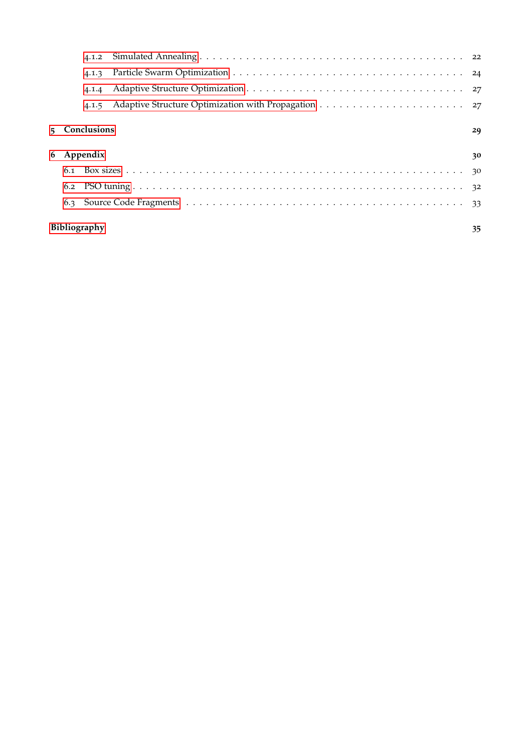| 4.1.2              |               |  |    |  |  |  |  |  |  |  |
|--------------------|---------------|--|----|--|--|--|--|--|--|--|
| 4.1.3              |               |  |    |  |  |  |  |  |  |  |
| 4.1.4              |               |  |    |  |  |  |  |  |  |  |
|                    | 4.1.5         |  |    |  |  |  |  |  |  |  |
|                    | 5 Conclusions |  | 29 |  |  |  |  |  |  |  |
|                    | 6 Appendix    |  | 30 |  |  |  |  |  |  |  |
|                    |               |  |    |  |  |  |  |  |  |  |
|                    |               |  |    |  |  |  |  |  |  |  |
|                    |               |  |    |  |  |  |  |  |  |  |
| Bibliography<br>35 |               |  |    |  |  |  |  |  |  |  |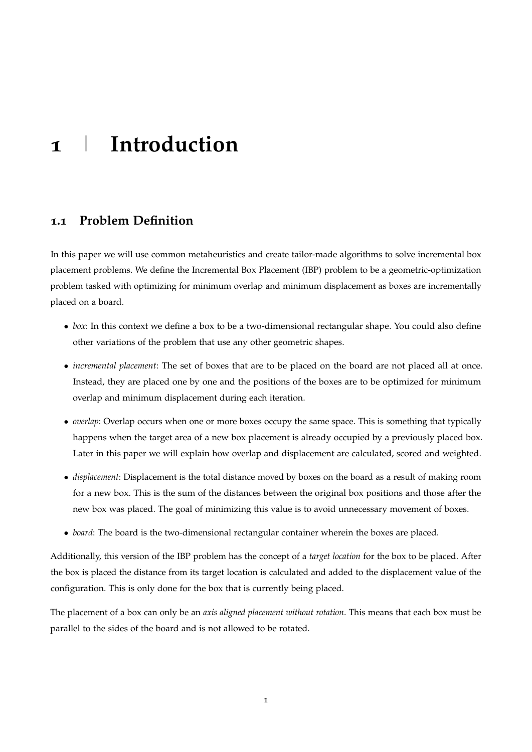# <span id="page-4-0"></span>**1 | Introduction**

# <span id="page-4-1"></span>**1.1 Problem Definition**

In this paper we will use common metaheuristics and create tailor-made algorithms to solve incremental box placement problems. We define the Incremental Box Placement (IBP) problem to be a geometric-optimization problem tasked with optimizing for minimum overlap and minimum displacement as boxes are incrementally placed on a board.

- *box*: In this context we define a box to be a two-dimensional rectangular shape. You could also define other variations of the problem that use any other geometric shapes.
- *incremental placement*: The set of boxes that are to be placed on the board are not placed all at once. Instead, they are placed one by one and the positions of the boxes are to be optimized for minimum overlap and minimum displacement during each iteration.
- *overlap*: Overlap occurs when one or more boxes occupy the same space. This is something that typically happens when the target area of a new box placement is already occupied by a previously placed box. Later in this paper we will explain how overlap and displacement are calculated, scored and weighted.
- *displacement*: Displacement is the total distance moved by boxes on the board as a result of making room for a new box. This is the sum of the distances between the original box positions and those after the new box was placed. The goal of minimizing this value is to avoid unnecessary movement of boxes.
- *board*: The board is the two-dimensional rectangular container wherein the boxes are placed.

Additionally, this version of the IBP problem has the concept of a *target location* for the box to be placed. After the box is placed the distance from its target location is calculated and added to the displacement value of the configuration. This is only done for the box that is currently being placed.

The placement of a box can only be an *axis aligned placement without rotation*. This means that each box must be parallel to the sides of the board and is not allowed to be rotated.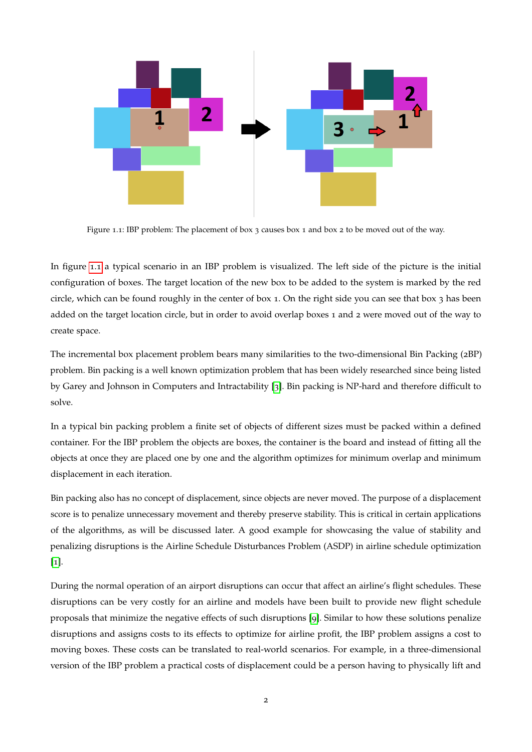<span id="page-5-0"></span>

Figure 1.1: IBP problem: The placement of box 3 causes box 1 and box 2 to be moved out of the way.

In figure [1](#page-5-0).1 a typical scenario in an IBP problem is visualized. The left side of the picture is the initial configuration of boxes. The target location of the new box to be added to the system is marked by the red circle, which can be found roughly in the center of box 1. On the right side you can see that box 3 has been added on the target location circle, but in order to avoid overlap boxes 1 and 2 were moved out of the way to create space.

The incremental box placement problem bears many similarities to the two-dimensional Bin Packing (2BP) problem. Bin packing is a well known optimization problem that has been widely researched since being listed by Garey and Johnson in Computers and Intractability [[3](#page-38-0)]. Bin packing is NP-hard and therefore difficult to solve.

In a typical bin packing problem a finite set of objects of different sizes must be packed within a defined container. For the IBP problem the objects are boxes, the container is the board and instead of fitting all the objects at once they are placed one by one and the algorithm optimizes for minimum overlap and minimum displacement in each iteration.

Bin packing also has no concept of displacement, since objects are never moved. The purpose of a displacement score is to penalize unnecessary movement and thereby preserve stability. This is critical in certain applications of the algorithms, as will be discussed later. A good example for showcasing the value of stability and penalizing disruptions is the Airline Schedule Disturbances Problem (ASDP) in airline schedule optimization  $\lceil 1 \rceil$  $\lceil 1 \rceil$  $\lceil 1 \rceil$ .

During the normal operation of an airport disruptions can occur that affect an airline's flight schedules. These disruptions can be very costly for an airline and models have been built to provide new flight schedule proposals that minimize the negative effects of such disruptions [[9](#page-38-2)]. Similar to how these solutions penalize disruptions and assigns costs to its effects to optimize for airline profit, the IBP problem assigns a cost to moving boxes. These costs can be translated to real-world scenarios. For example, in a three-dimensional version of the IBP problem a practical costs of displacement could be a person having to physically lift and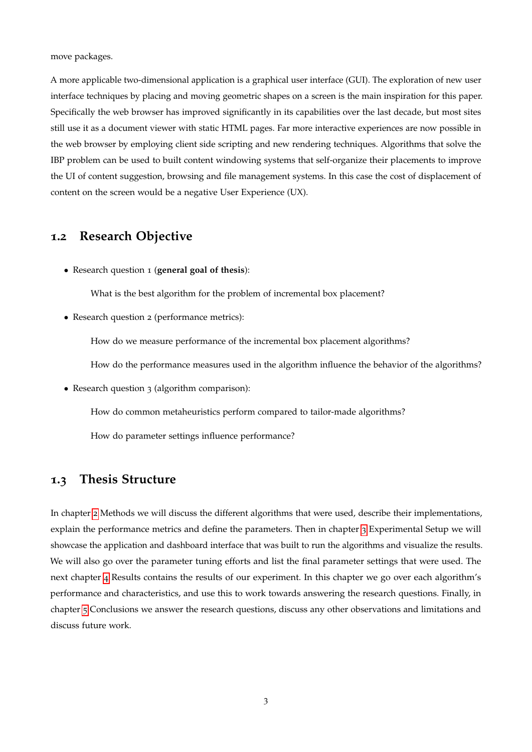move packages.

A more applicable two-dimensional application is a graphical user interface (GUI). The exploration of new user interface techniques by placing and moving geometric shapes on a screen is the main inspiration for this paper. Specifically the web browser has improved significantly in its capabilities over the last decade, but most sites still use it as a document viewer with static HTML pages. Far more interactive experiences are now possible in the web browser by employing client side scripting and new rendering techniques. Algorithms that solve the IBP problem can be used to built content windowing systems that self-organize their placements to improve the UI of content suggestion, browsing and file management systems. In this case the cost of displacement of content on the screen would be a negative User Experience (UX).

# <span id="page-6-0"></span>**1.2 Research Objective**

• Research question 1 (**general goal of thesis**):

What is the best algorithm for the problem of incremental box placement?

• Research question 2 (performance metrics):

How do we measure performance of the incremental box placement algorithms?

How do the performance measures used in the algorithm influence the behavior of the algorithms?

• Research question 3 (algorithm comparison):

How do common metaheuristics perform compared to tailor-made algorithms?

How do parameter settings influence performance?

# <span id="page-6-1"></span>**1.3 Thesis Structure**

In chapter [2](#page-7-0) Methods we will discuss the different algorithms that were used, describe their implementations, explain the performance metrics and define the parameters. Then in chapter [3](#page-14-0) Experimental Setup we will showcase the application and dashboard interface that was built to run the algorithms and visualize the results. We will also go over the parameter tuning efforts and list the final parameter settings that were used. The next chapter [4](#page-23-0) Results contains the results of our experiment. In this chapter we go over each algorithm's performance and characteristics, and use this to work towards answering the research questions. Finally, in chapter [5](#page-32-0) Conclusions we answer the research questions, discuss any other observations and limitations and discuss future work.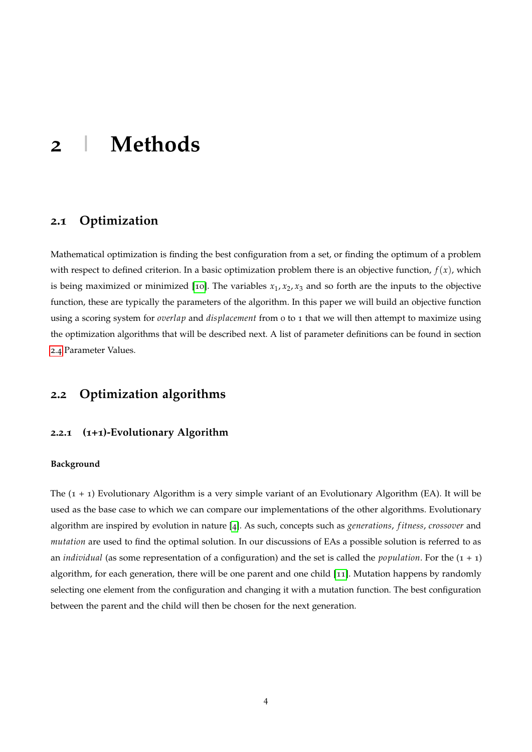# <span id="page-7-0"></span>**2 | Methods**

# <span id="page-7-1"></span>**2.1 Optimization**

Mathematical optimization is finding the best configuration from a set, or finding the optimum of a problem with respect to defined criterion. In a basic optimization problem there is an objective function,  $f(x)$ , which is being maximized or minimized [[10](#page-38-3)]. The variables  $x_1, x_2, x_3$  and so forth are the inputs to the objective function, these are typically the parameters of the algorithm. In this paper we will build an objective function using a scoring system for *overlap* and *displacement* from 0 to 1 that we will then attempt to maximize using the optimization algorithms that will be described next. A list of parameter definitions can be found in section [2](#page-12-0).4 Parameter Values.

# <span id="page-7-2"></span>**2.2 Optimization algorithms**

# <span id="page-7-3"></span>**2.2.1 (1+1)-Evolutionary Algorithm**

#### **Background**

The (1 + 1) Evolutionary Algorithm is a very simple variant of an Evolutionary Algorithm (EA). It will be used as the base case to which we can compare our implementations of the other algorithms. Evolutionary algorithm are inspired by evolution in nature [[4](#page-38-4)]. As such, concepts such as *generations*, *f itness*, *crossover* and *mutation* are used to find the optimal solution. In our discussions of EAs a possible solution is referred to as an *individual* (as some representation of a configuration) and the set is called the *population*. For the  $(1 + 1)$ algorithm, for each generation, there will be one parent and one child [[11](#page-38-5)]. Mutation happens by randomly selecting one element from the configuration and changing it with a mutation function. The best configuration between the parent and the child will then be chosen for the next generation.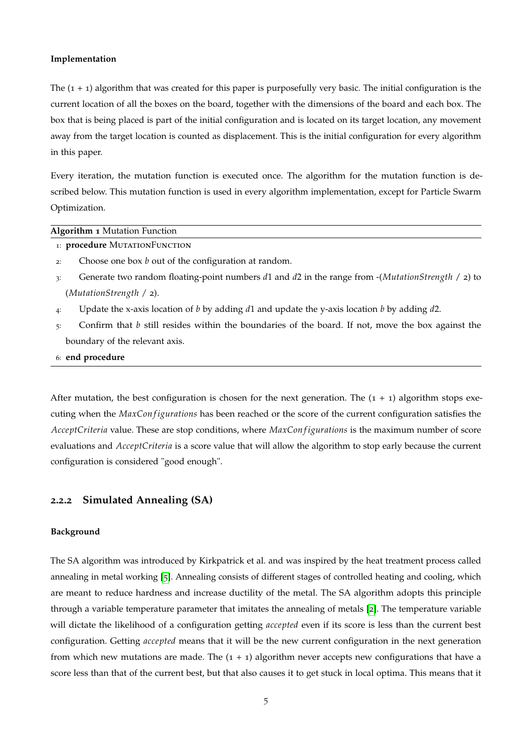#### **Implementation**

The  $(1 + 1)$  algorithm that was created for this paper is purposefully very basic. The initial configuration is the current location of all the boxes on the board, together with the dimensions of the board and each box. The box that is being placed is part of the initial configuration and is located on its target location, any movement away from the target location is counted as displacement. This is the initial configuration for every algorithm in this paper.

Every iteration, the mutation function is executed once. The algorithm for the mutation function is described below. This mutation function is used in every algorithm implementation, except for Particle Swarm Optimization.

#### **Algorithm 1** Mutation Function

- <sup>1</sup>: **procedure** MutationFunction
- 2: Choose one box *b* out of the configuration at random.
- <sup>3</sup>: Generate two random floating-point numbers *d*1 and *d*2 in the range from -(*MutationStrength* / 2) to (*MutationStrength* / 2).
- 4: Update the x-axis location of *b* by adding *d*1 and update the y-axis location *b* by adding *d*2.
- 5: Confirm that *b* still resides within the boundaries of the board. If not, move the box against the boundary of the relevant axis.
- 6: **end procedure**

After mutation, the best configuration is chosen for the next generation. The  $(1 + 1)$  algorithm stops executing when the *MaxCon figurations* has been reached or the score of the current configuration satisfies the *AcceptCriteria* value. These are stop conditions, where *MaxConfigurations* is the maximum number of score evaluations and *AcceptCriteria* is a score value that will allow the algorithm to stop early because the current configuration is considered "good enough".

# <span id="page-8-0"></span>**2.2.2 Simulated Annealing (SA)**

#### **Background**

The SA algorithm was introduced by Kirkpatrick et al. and was inspired by the heat treatment process called annealing in metal working [[5](#page-38-6)]. Annealing consists of different stages of controlled heating and cooling, which are meant to reduce hardness and increase ductility of the metal. The SA algorithm adopts this principle through a variable temperature parameter that imitates the annealing of metals [[2](#page-38-7)]. The temperature variable will dictate the likelihood of a configuration getting *accepted* even if its score is less than the current best configuration. Getting *accepted* means that it will be the new current configuration in the next generation from which new mutations are made. The  $(1 + 1)$  algorithm never accepts new configurations that have a score less than that of the current best, but that also causes it to get stuck in local optima. This means that it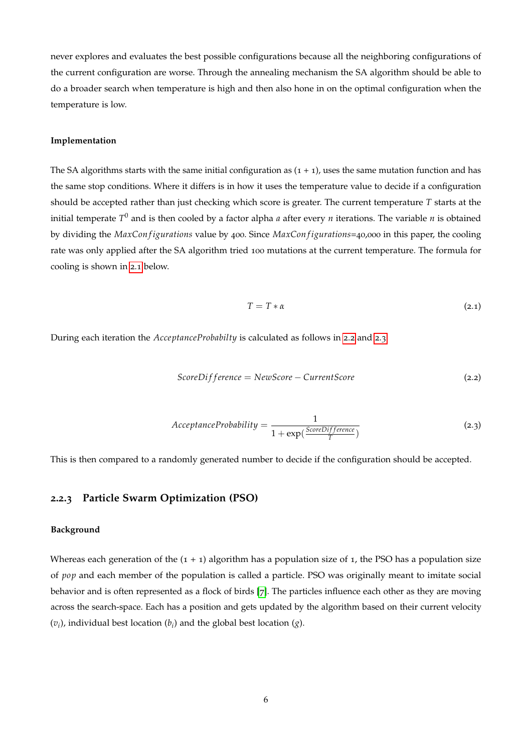never explores and evaluates the best possible configurations because all the neighboring configurations of the current configuration are worse. Through the annealing mechanism the SA algorithm should be able to do a broader search when temperature is high and then also hone in on the optimal configuration when the temperature is low.

#### **Implementation**

The SA algorithms starts with the same initial configuration as  $(1 + 1)$ , uses the same mutation function and has the same stop conditions. Where it differs is in how it uses the temperature value to decide if a configuration should be accepted rather than just checking which score is greater. The current temperature *T* starts at the initial temperate *T* <sup>0</sup> and is then cooled by a factor alpha *a* after every *n* iterations. The variable *n* is obtained by dividing the *MaxCon f igurations* value by 400. Since *MaxCon f igurations*=40,000 in this paper, the cooling rate was only applied after the SA algorithm tried 100 mutations at the current temperature. The formula for cooling is shown in [2](#page-9-1).1 below.

<span id="page-9-1"></span>
$$
T = T * \alpha \tag{2.1}
$$

During each iteration the *AcceptanceProbabilty* is calculated as follows in [2](#page-9-2).2 and [2](#page-9-3).3.

<span id="page-9-2"></span>
$$
ScoreDifference = NewScore - CurrentScore
$$
\n(2.2)

<span id="page-9-3"></span>
$$
Acceptance Probability = \frac{1}{1 + \exp(\frac{ScoreDifference}{T})}
$$
 (2.3)

<span id="page-9-0"></span>This is then compared to a randomly generated number to decide if the configuration should be accepted.

# **2.2.3 Particle Swarm Optimization (PSO)**

#### **Background**

Whereas each generation of the  $(1 + 1)$  algorithm has a population size of 1, the PSO has a population size of *pop* and each member of the population is called a particle. PSO was originally meant to imitate social behavior and is often represented as a flock of birds [[7](#page-38-8)]. The particles influence each other as they are moving across the search-space. Each has a position and gets updated by the algorithm based on their current velocity  $(v_i)$ , individual best location  $(b_i)$  and the global best location  $(g)$ .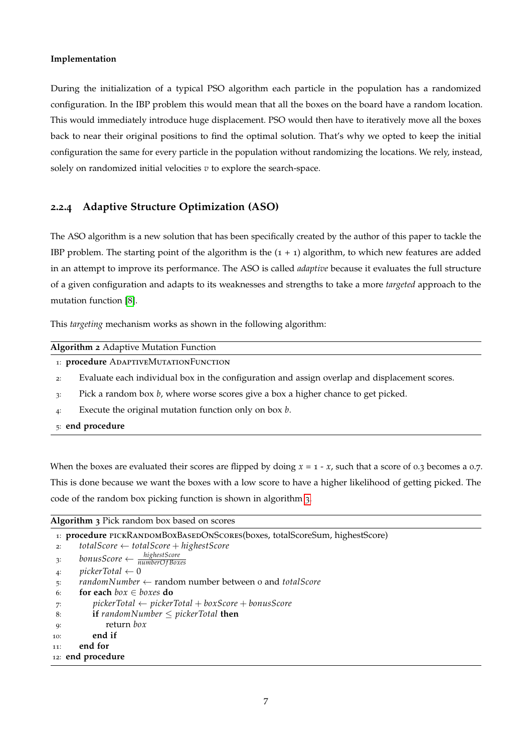#### **Implementation**

During the initialization of a typical PSO algorithm each particle in the population has a randomized configuration. In the IBP problem this would mean that all the boxes on the board have a random location. This would immediately introduce huge displacement. PSO would then have to iteratively move all the boxes back to near their original positions to find the optimal solution. That's why we opted to keep the initial configuration the same for every particle in the population without randomizing the locations. We rely, instead, solely on randomized initial velocities *v* to explore the search-space.

### <span id="page-10-0"></span>**2.2.4 Adaptive Structure Optimization (ASO)**

The ASO algorithm is a new solution that has been specifically created by the author of this paper to tackle the IBP problem. The starting point of the algorithm is the  $(1 + 1)$  algorithm, to which new features are added in an attempt to improve its performance. The ASO is called *adaptive* because it evaluates the full structure of a given configuration and adapts to its weaknesses and strengths to take a more *targeted* approach to the mutation function [[8](#page-38-9)].

This *targeting* mechanism works as shown in the following algorithm:

#### **Algorithm 2** Adaptive Mutation Function

- <sup>1</sup>: **procedure** AdaptiveMutationFunction
- 2: Evaluate each individual box in the configuration and assign overlap and displacement scores.
- 3: Pick a random box *b*, where worse scores give a box a higher chance to get picked.
- 4: Execute the original mutation function only on box *b*.
- 5: **end procedure**

When the boxes are evaluated their scores are flipped by doing  $x = 1 - x$ , such that a score of 0.3 becomes a 0.7. This is done because we want the boxes with a low score to have a higher likelihood of getting picked. The code of the random box picking function is shown in algorithm [3](#page-10-1).

<span id="page-10-1"></span>

|  | <b>Algorithm 3</b> Pick random box based on scores |  |  |  |  |  |  |  |
|--|----------------------------------------------------|--|--|--|--|--|--|--|
|--|----------------------------------------------------|--|--|--|--|--|--|--|

|              | 1: procedure PICKRANDOMBOXBASEDONSCORES(boxes, totalScoreSum, highestScore)           |
|--------------|---------------------------------------------------------------------------------------|
| 2:           | $totalScore \leftarrow totalScore + highestScore$                                     |
| $\ddot{3}$ : | $\textit{bonusScore} \leftarrow \frac{\textit{highestScore}}{\textit{numberOfBoxes}}$ |
| 4            | $pictureTotal \leftarrow 0$                                                           |
| 5:           | $randomNumber \leftarrow random number between o and total Score$                     |
| 6:           | for each $box \in boxes$ do                                                           |
| -7:          | $pickerTotal \leftarrow pickerTotal + boxScore + bonusScore$                          |
| 8:           | <b>if</b> randomNumber $\leq$ pickerTotal <b>then</b>                                 |
| <b>Q:</b>    | return box                                                                            |
| 10:          | end if                                                                                |
| 11:          | end for                                                                               |
|              | 12: end procedure                                                                     |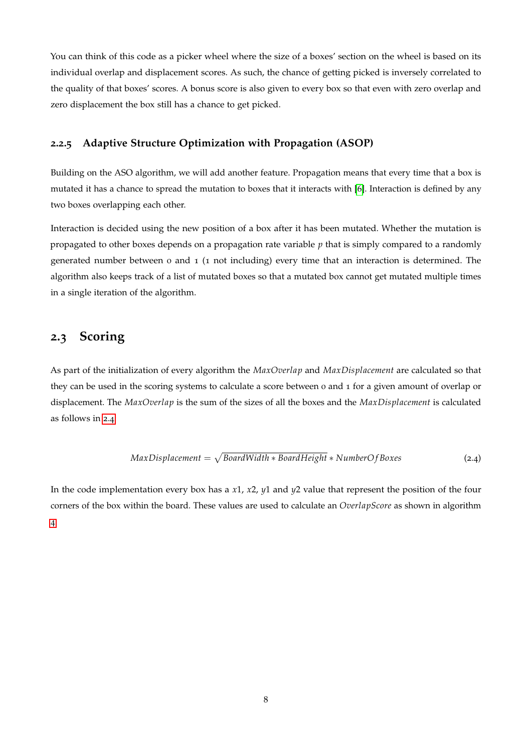You can think of this code as a picker wheel where the size of a boxes' section on the wheel is based on its individual overlap and displacement scores. As such, the chance of getting picked is inversely correlated to the quality of that boxes' scores. A bonus score is also given to every box so that even with zero overlap and zero displacement the box still has a chance to get picked.

### <span id="page-11-0"></span>**2.2.5 Adaptive Structure Optimization with Propagation (ASOP)**

Building on the ASO algorithm, we will add another feature. Propagation means that every time that a box is mutated it has a chance to spread the mutation to boxes that it interacts with [[6](#page-38-10)]. Interaction is defined by any two boxes overlapping each other.

Interaction is decided using the new position of a box after it has been mutated. Whether the mutation is propagated to other boxes depends on a propagation rate variable *p* that is simply compared to a randomly generated number between 0 and 1 (1 not including) every time that an interaction is determined. The algorithm also keeps track of a list of mutated boxes so that a mutated box cannot get mutated multiple times in a single iteration of the algorithm.

# <span id="page-11-1"></span>**2.3 Scoring**

As part of the initialization of every algorithm the *MaxOverlap* and *MaxDisplacement* are calculated so that they can be used in the scoring systems to calculate a score between 0 and 1 for a given amount of overlap or displacement. The *MaxOverlap* is the sum of the sizes of all the boxes and the *MaxDisplacement* is calculated as follows in [2](#page-11-2).4:

<span id="page-11-2"></span>
$$
MaxDisplacement = \sqrt{BoardWidth * BoardHeight * NumberOfBoxes}
$$
 (2.4)

In the code implementation every box has a *x*1, *x*2, *y*1 and *y*2 value that represent the position of the four corners of the box within the board. These values are used to calculate an *OverlapScore* as shown in algorithm [4](#page-12-1).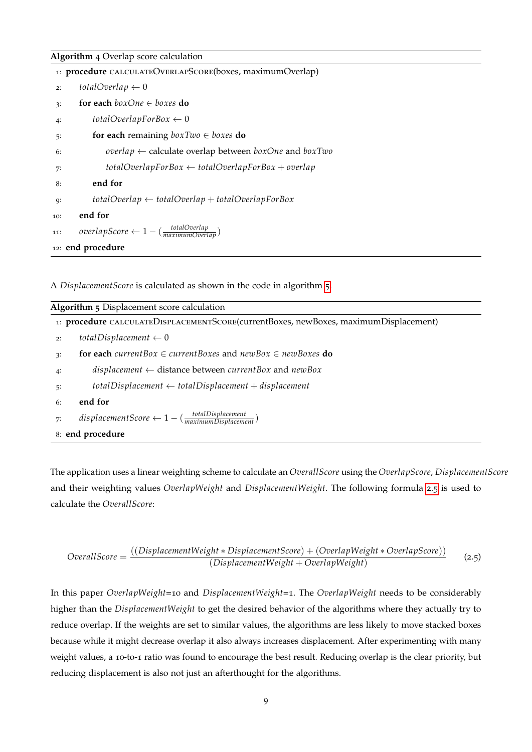#### <span id="page-12-1"></span>**Algorithm 4** Overlap score calculation

|            | 1: procedure CALCULATEOVERLAPSCORE(boxes, maximumOverlap)           |
|------------|---------------------------------------------------------------------|
| 2:         | totalOverlap $\leftarrow 0$                                         |
| $\ddot{ }$ | for each $boxOne \in boxes$ do                                      |
| $4$ :      | totalOverlapForBox $\leftarrow 0$                                   |
| 5:         | for each remaining $boxTwo \in boxes$ do                            |
| 6:         | overlap $\leftarrow$ calculate overlap between boxOne and boxTwo    |
| 7:         | $totalOverlapForBox \leftarrow totalOverlapForBox + overlap$        |
| 8:         | end for                                                             |
| <b>Q:</b>  | $totalOverlap \leftarrow totalOverlap + totalOverlap$               |
| 10:        | end for                                                             |
| 11:        | $overlapScore \leftarrow 1 - (\frac{totalOverlap}{maximumOverlan})$ |
|            | 12: end procedure                                                   |

A *DisplacementScore* is calculated as shown in the code in algorithm [5](#page-12-2).

<span id="page-12-2"></span>

| Algorithm 5 Displacement score calculation                                                |  |  |  |  |  |  |
|-------------------------------------------------------------------------------------------|--|--|--|--|--|--|
| 1: procedure CALCULATEDISPLACEMENTSCORE(currentBoxes, newBoxes, maximumDisplacement)      |  |  |  |  |  |  |
| totalDisplacement $\leftarrow 0$<br>2:                                                    |  |  |  |  |  |  |
| for each current Box $\in$ current Boxes and new Box $\in$ new Boxes do<br>3:             |  |  |  |  |  |  |
| displacement $\leftarrow$ distance between current Box and new Box<br>4:                  |  |  |  |  |  |  |
| $total Displacement \leftarrow totalDisplacement + displacement$<br>5:                    |  |  |  |  |  |  |
| end for<br>6:                                                                             |  |  |  |  |  |  |
| $displacementScore \leftarrow 1 - (\frac{totalDisplacement}{maximum Displacement})$<br>7: |  |  |  |  |  |  |
| 8: end procedure                                                                          |  |  |  |  |  |  |

The application uses a linear weighting scheme to calculate an *OverallScore* using the *OverlapScore*, *DisplacementScore* and their weighting values *OverlapWeight* and *DisplacementWeight*. The following formula [2](#page-12-3).5 is used to calculate the *OverallScore*:

<span id="page-12-3"></span>
$$
OverallScore = \frac{((DisplacementWeight * DisplacementScore) + (OverlapWeight * OverlapScore))}{(DisplacementWeight + OverlapWeight)}
$$
(2.5)

<span id="page-12-0"></span>In this paper *OverlapWeight*=10 and *DisplacementWeight*=1. The *OverlapWeight* needs to be considerably higher than the *DisplacementWeight* to get the desired behavior of the algorithms where they actually try to reduce overlap. If the weights are set to similar values, the algorithms are less likely to move stacked boxes because while it might decrease overlap it also always increases displacement. After experimenting with many weight values, a 10-to-1 ratio was found to encourage the best result. Reducing overlap is the clear priority, but reducing displacement is also not just an afterthought for the algorithms.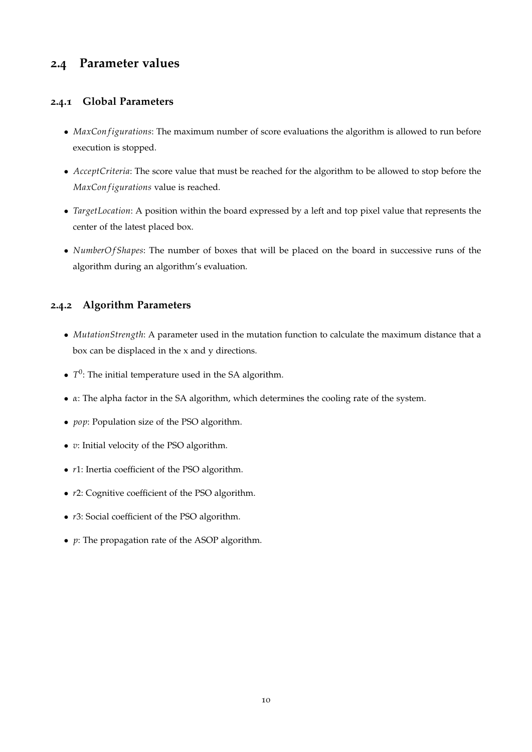# **2.4 Parameter values**

# <span id="page-13-0"></span>**2.4.1 Global Parameters**

- *MaxCon figurations*: The maximum number of score evaluations the algorithm is allowed to run before execution is stopped.
- *AcceptCriteria*: The score value that must be reached for the algorithm to be allowed to stop before the *MaxCon f igurations* value is reached.
- *TargetLocation*: A position within the board expressed by a left and top pixel value that represents the center of the latest placed box.
- *NumberO f Shapes*: The number of boxes that will be placed on the board in successive runs of the algorithm during an algorithm's evaluation.

# <span id="page-13-1"></span>**2.4.2 Algorithm Parameters**

- *MutationStrength*: A parameter used in the mutation function to calculate the maximum distance that a box can be displaced in the x and y directions.
- $\bullet$   $T^0$ : The initial temperature used in the SA algorithm.
- *α*: The alpha factor in the SA algorithm, which determines the cooling rate of the system.
- *pop*: Population size of the PSO algorithm.
- *v*: Initial velocity of the PSO algorithm.
- *r*1: Inertia coefficient of the PSO algorithm.
- *r*2: Cognitive coefficient of the PSO algorithm.
- *r*3: Social coefficient of the PSO algorithm.
- *p*: The propagation rate of the ASOP algorithm.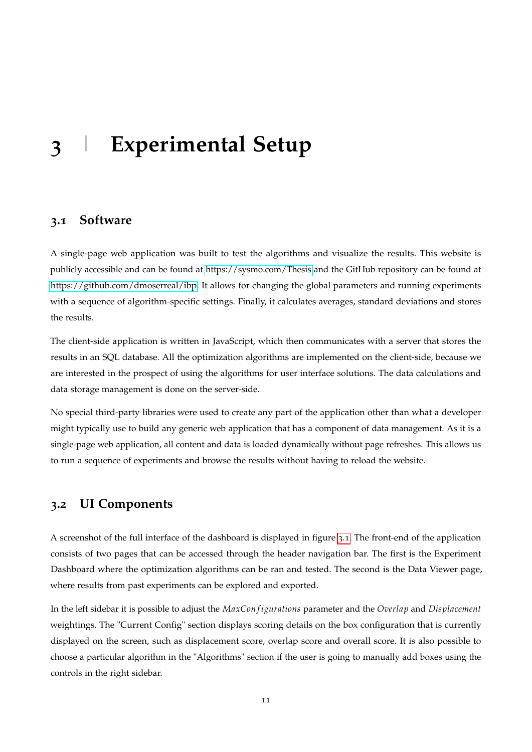# <span id="page-14-0"></span>**3 | Experimental Setup**

# <span id="page-14-1"></span>**3.1 Software**

A single-page web application was built to test the algorithms and visualize the results. This website is publicly accessible and can be found at<https://sysmo.com/Thesis> and the GitHub repository can be found at [https://github.com/dmoserreal/ibp.](https://github.com/dmoserreal/ibp) It allows for changing the global parameters and running experiments with a sequence of algorithm-specific settings. Finally, it calculates averages, standard deviations and stores the results.

The client-side application is written in JavaScript, which then communicates with a server that stores the results in an SQL database. All the optimization algorithms are implemented on the client-side, because we are interested in the prospect of using the algorithms for user interface solutions. The data calculations and data storage management is done on the server-side.

No special third-party libraries were used to create any part of the application other than what a developer might typically use to build any generic web application that has a component of data management. As it is a single-page web application, all content and data is loaded dynamically without page refreshes. This allows us to run a sequence of experiments and browse the results without having to reload the website.

# <span id="page-14-2"></span>**3.2 UI Components**

A screenshot of the full interface of the dashboard is displayed in figure [3](#page-15-0).1. The front-end of the application consists of two pages that can be accessed through the header navigation bar. The first is the Experiment Dashboard where the optimization algorithms can be ran and tested. The second is the Data Viewer page, where results from past experiments can be explored and exported.

In the left sidebar it is possible to adjust the *MaxCon f igurations* parameter and the *Overlap* and *Displacement* weightings. The "Current Config" section displays scoring details on the box configuration that is currently displayed on the screen, such as displacement score, overlap score and overall score. It is also possible to choose a particular algorithm in the "Algorithms" section if the user is going to manually add boxes using the controls in the right sidebar.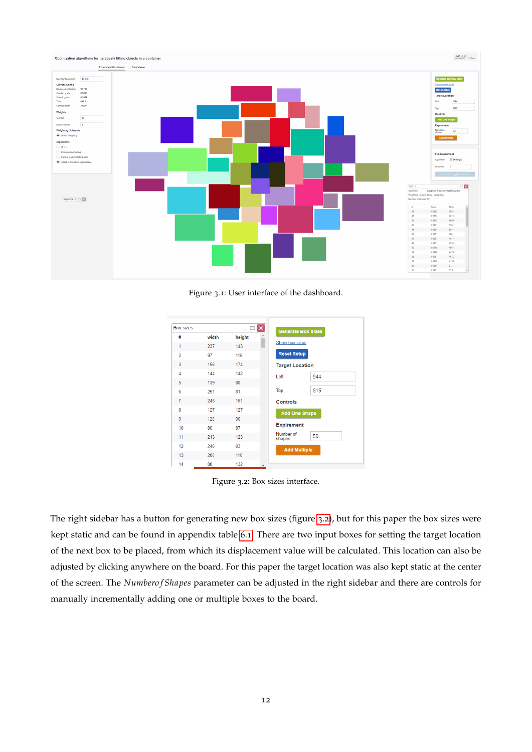<span id="page-15-0"></span>

Figure 3.1: User interface of the dashboard.

<span id="page-15-1"></span>

| <b>Box sizes</b> |       |        | $\pmb{\times}$           | <b>Generate Box Sizes</b> |     |
|------------------|-------|--------|--------------------------|---------------------------|-----|
| #                | width | height |                          |                           |     |
| 1                | 237   | 143    |                          | Show box sizes            |     |
| $\overline{2}$   | 97    | 116    |                          | <b>Reset Setup</b>        |     |
| 3                | 156   | 174    |                          | <b>Target Location</b>    |     |
| $\overline{4}$   | 144   | 142    |                          | Left                      | 944 |
| 5                | 139   | 80     |                          |                           |     |
| 6                | 251   | 81     |                          | Top                       | 615 |
| 7                | 248   | 161    |                          | <b>Controls</b>           |     |
| 8                | 127   | 127    |                          | <b>Add One Shape</b>      |     |
| 9                | 120   | 96     |                          |                           |     |
| 10               | 86    | 87     |                          | <b>Expirement</b>         |     |
| 11               | 213   | 123    |                          | Number of<br>shapes       | 50  |
| 12               | 246   | 93     |                          | <b>Add Multiple</b>       |     |
| 13               | 200   | 110    |                          |                           |     |
| 14               | 88    | 132    | $\overline{\phantom{a}}$ |                           |     |

Figure 3.2: Box sizes interface.

The right sidebar has a button for generating new box sizes (figure [3](#page-15-1).2), but for this paper the box sizes were kept static and can be found in appendix table [6](#page-33-2).1. There are two input boxes for setting the target location of the next box to be placed, from which its displacement value will be calculated. This location can also be adjusted by clicking anywhere on the board. For this paper the target location was also kept static at the center of the screen. The *Numbero f Shapes* parameter can be adjusted in the right sidebar and there are controls for manually incrementally adding one or multiple boxes to the board.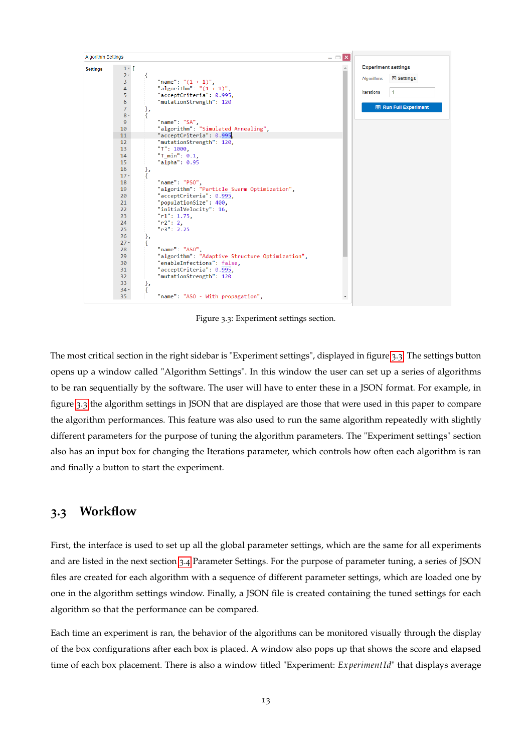<span id="page-16-1"></span>

Figure 3.3: Experiment settings section.

The most critical section in the right sidebar is "Experiment settings", displayed in figure [3](#page-16-1).3. The settings button opens up a window called "Algorithm Settings". In this window the user can set up a series of algorithms to be ran sequentially by the software. The user will have to enter these in a JSON format. For example, in figure [3](#page-16-1).3 the algorithm settings in JSON that are displayed are those that were used in this paper to compare the algorithm performances. This feature was also used to run the same algorithm repeatedly with slightly different parameters for the purpose of tuning the algorithm parameters. The "Experiment settings" section also has an input box for changing the Iterations parameter, which controls how often each algorithm is ran and finally a button to start the experiment.

# <span id="page-16-0"></span>**3.3 Workflow**

First, the interface is used to set up all the global parameter settings, which are the same for all experiments and are listed in the next section [3](#page-17-0).4 Parameter Settings. For the purpose of parameter tuning, a series of JSON files are created for each algorithm with a sequence of different parameter settings, which are loaded one by one in the algorithm settings window. Finally, a JSON file is created containing the tuned settings for each algorithm so that the performance can be compared.

Each time an experiment is ran, the behavior of the algorithms can be monitored visually through the display of the box configurations after each box is placed. A window also pops up that shows the score and elapsed time of each box placement. There is also a window titled "Experiment: *ExperimentId*" that displays average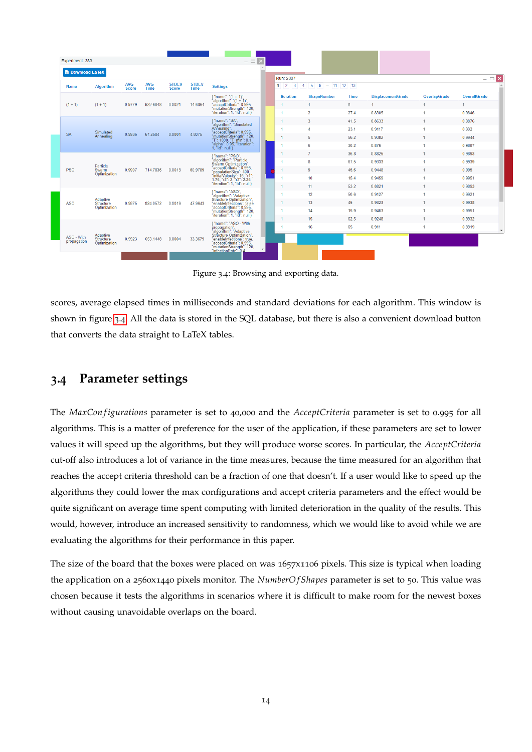<span id="page-17-2"></span>

| Experiment: 383           |                                       |                            |                    |                              |                             | $ \Box$ $\times$                                                                                                                                                                                                                                                                                                                                                      |                     |                                            |              |                          |                     |                          |
|---------------------------|---------------------------------------|----------------------------|--------------------|------------------------------|-----------------------------|-----------------------------------------------------------------------------------------------------------------------------------------------------------------------------------------------------------------------------------------------------------------------------------------------------------------------------------------------------------------------|---------------------|--------------------------------------------|--------------|--------------------------|---------------------|--------------------------|
| <b>B</b> Download LaTeX   |                                       |                            |                    |                              |                             |                                                                                                                                                                                                                                                                                                                                                                       | Run: 2007           |                                            |              |                          |                     | $ \blacksquare$ $\times$ |
| Name                      | <b>Algorithm</b>                      | <b>AVG</b><br><b>Score</b> | <b>AVG</b><br>Time | <b>STDEV</b><br><b>Score</b> | <b>STDEV</b><br><b>Time</b> | <b>Settings</b>                                                                                                                                                                                                                                                                                                                                                       | $1 \quad 2 \quad 3$ | $5 \t6 \t- 11 \t12 \t13$<br>$\overline{4}$ |              |                          |                     |                          |
|                           |                                       |                            |                    |                              |                             |                                                                                                                                                                                                                                                                                                                                                                       | <b>Iteration</b>    | <b>ShapeNumber</b>                         | <b>Time</b>  | <b>DisplacementGrade</b> | <b>OverlapGrade</b> | OverallGrade             |
| $(1 + 1)$                 | $(1 + 1)$                             | 0.9779                     | 622.6848           | 0.0021                       | 14.6064                     | { "name": "(1 + 1)",<br>"algorithm": "(1 + 1)",<br>"acceptCriteria": 0.995,<br>"mutationStrength": 120,<br>"iteration": 1, "ld": null }                                                                                                                                                                                                                               |                     | -1                                         | $\mathbf{0}$ | $\blacktriangleleft$     | 1                   | $\mathbf{1}$             |
|                           |                                       |                            |                    |                              |                             |                                                                                                                                                                                                                                                                                                                                                                       |                     | $\overline{2}$                             | 27.4         | 0.8305                   |                     | 0.9846                   |
|                           |                                       |                            |                    |                              |                             | "name": "SA",<br>algorithm": "Simulated                                                                                                                                                                                                                                                                                                                               |                     | 3                                          | 41.5         | 0.8633                   |                     | 0.9876                   |
|                           | Simulated                             |                            |                    |                              | 4.8075                      | Annealing".                                                                                                                                                                                                                                                                                                                                                           |                     | $\Delta$                                   | 23.1         | 0.9117                   |                     | 0.992                    |
| <b>SA</b>                 | Annealing                             | 0.9936                     | 67.2584            | 0.0001                       |                             | "acceptCriteria": 0.995,<br>"mutationStrength": 120,<br>"T": 1000, "T_min": 0.1,<br>"alpha": 0.95, "iteration":<br>1, "Id": null                                                                                                                                                                                                                                      |                     | 5                                          | 56.2         | 0.9382                   |                     | 0.9944                   |
|                           |                                       |                            |                    |                              |                             |                                                                                                                                                                                                                                                                                                                                                                       |                     | 6                                          | 30.2         | 0.876                    |                     | 0.9887                   |
|                           | Particle<br>Swarm                     | 0.9907                     |                    | 0.0013                       | 60.9789                     | $\left\{ \begin{array}{ll} \text{"name":} "PSO", \\ \text{"algorithm":} "Particle\\ \text{"vaceptCriteria":} 0.995, \\ \text{"populationSize":} 400, \\ \text{"initial":} 1.75, \text{``r}2~:} 2.25, \\ \text{"1.75,} \text{``r}2~:} 2.73". \\ \text{"Iteration@:} 1.76, \text{``r}3~:} 2.25, \\ \text{``iteration":} 1, \text{``left'': null''} \end{array} \right.$ |                     | $\overline{7}$                             | 35.8         | 0.8825                   |                     | 0.9893                   |
|                           |                                       |                            |                    |                              |                             |                                                                                                                                                                                                                                                                                                                                                                       |                     | 8                                          | 67.5         | 0.9333                   |                     | 0.9939                   |
| <b>PSO</b>                |                                       |                            | 714.7836           |                              |                             |                                                                                                                                                                                                                                                                                                                                                                       |                     | 9                                          | 45.6         | 0 9448                   |                     | 0.995                    |
|                           | Optimization                          |                            |                    |                              |                             |                                                                                                                                                                                                                                                                                                                                                                       |                     | 10                                         | 15.4         | 0.9459                   |                     | 0.9951                   |
|                           |                                       |                            |                    |                              |                             |                                                                                                                                                                                                                                                                                                                                                                       |                     | 11                                         | 53.2         | 0.8821                   |                     | 0.9893                   |
|                           |                                       |                            |                    |                              |                             | { "name": "ASO",<br>"algorithm": "Adaptive                                                                                                                                                                                                                                                                                                                            |                     | 12                                         | 50.6         | 0.9127                   |                     | 0.9921                   |
| <b>ASO</b>                | Adaptive<br>Structure                 | 0.9875                     | 824.0572           | 0.0019                       | 47.9643                     | Structure Optimization",<br>"enableInfections": false,<br>"acceptCriteria": 0.995,                                                                                                                                                                                                                                                                                    |                     | 13                                         | 45           | 0.9323                   |                     | 0.9938                   |
|                           | Optimization                          |                            |                    |                              |                             | "mutationStrength": 120,<br>"iteration": 1, "Id": null }                                                                                                                                                                                                                                                                                                              |                     | 14                                         | 15.9         | 0.9463                   |                     | 0.9951                   |
|                           |                                       |                            |                    |                              |                             |                                                                                                                                                                                                                                                                                                                                                                       |                     | 15                                         | 62.5         | 0.9248                   |                     | 0.9932                   |
|                           |                                       |                            |                    |                              |                             | "name": "ASO - With                                                                                                                                                                                                                                                                                                                                                   |                     | 16                                         | 65           | 0.911                    |                     | 0.9919                   |
| ASO - With<br>propagation | Adaptive<br>Structure<br>Optimization | 0.9923                     | 653.1448           | 0.0004                       | 33.3679                     | Trainier ASO - With<br>"algorithm": "Adaptive<br>"algorithm": "Adaptive<br>"acceptCriteria": 0.995<br>"acceptCriteria": 0.995<br>"IntradionRate": 0.4<br>"IntectionRate": 0.4                                                                                                                                                                                         |                     |                                            |              |                          |                     |                          |

Figure 3.4: Browsing and exporting data.

scores, average elapsed times in milliseconds and standard deviations for each algorithm. This window is shown in figure [3](#page-17-2).4. All the data is stored in the SQL database, but there is also a convenient download button that converts the data straight to LaTeX tables.

# <span id="page-17-0"></span>**3.4 Parameter settings**

The *MaxConfigurations* parameter is set to 40,000 and the *AcceptCriteria* parameter is set to 0.995 for all algorithms. This is a matter of preference for the user of the application, if these parameters are set to lower values it will speed up the algorithms, but they will produce worse scores. In particular, the *AcceptCriteria* cut-off also introduces a lot of variance in the time measures, because the time measured for an algorithm that reaches the accept criteria threshold can be a fraction of one that doesn't. If a user would like to speed up the algorithms they could lower the max configurations and accept criteria parameters and the effect would be quite significant on average time spent computing with limited deterioration in the quality of the results. This would, however, introduce an increased sensitivity to randomness, which we would like to avoid while we are evaluating the algorithms for their performance in this paper.

<span id="page-17-1"></span>The size of the board that the boxes were placed on was 1657x1106 pixels. This size is typical when loading the application on a 2560x1440 pixels monitor. The *NumberOf Shapes* parameter is set to 50. This value was chosen because it tests the algorithms in scenarios where it is difficult to make room for the newest boxes without causing unavoidable overlaps on the board.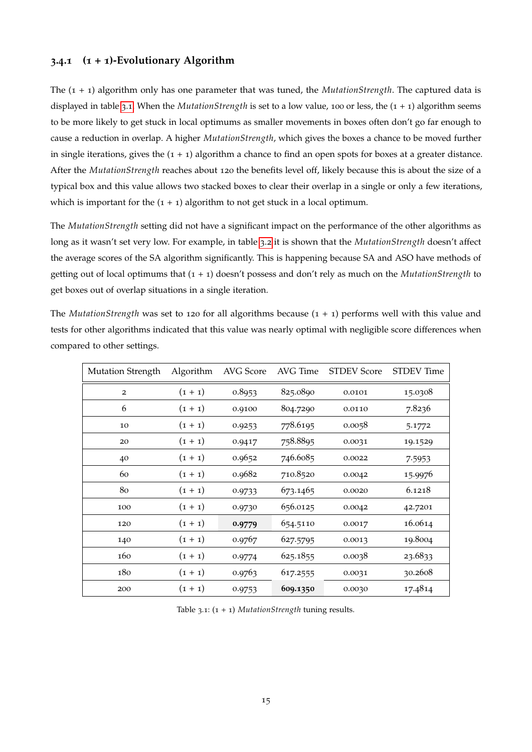### **3.4.1 (1 + 1)-Evolutionary Algorithm**

The (1 + 1) algorithm only has one parameter that was tuned, the *MutationStrength*. The captured data is displayed in table [3](#page-18-0).1. When the *MutationStrength* is set to a low value, 100 or less, the (1 + 1) algorithm seems to be more likely to get stuck in local optimums as smaller movements in boxes often don't go far enough to cause a reduction in overlap. A higher *MutationStrength*, which gives the boxes a chance to be moved further in single iterations, gives the  $(1 + 1)$  algorithm a chance to find an open spots for boxes at a greater distance. After the *MutationStrength* reaches about 120 the benefits level off, likely because this is about the size of a typical box and this value allows two stacked boxes to clear their overlap in a single or only a few iterations, which is important for the  $(1 + 1)$  algorithm to not get stuck in a local optimum.

The *MutationStrength* setting did not have a significant impact on the performance of the other algorithms as long as it wasn't set very low. For example, in table [3](#page-19-1).2 it is shown that the *MutationStrength* doesn't affect the average scores of the SA algorithm significantly. This is happening because SA and ASO have methods of getting out of local optimums that (1 + 1) doesn't possess and don't rely as much on the *MutationStrength* to get boxes out of overlap situations in a single iteration.

The *MutationStrength* was set to 120 for all algorithms because (1 + 1) performs well with this value and tests for other algorithms indicated that this value was nearly optimal with negligible score differences when compared to other settings.

<span id="page-18-0"></span>

| <b>Mutation Strength</b> | Algorithm | AVG Score | AVG Time | <b>STDEV Score</b> | <b>STDEV</b> Time |
|--------------------------|-----------|-----------|----------|--------------------|-------------------|
| $\overline{2}$           | $(1 + 1)$ | 0.8953    | 825.0890 | 0.0101             | 15.0308           |
| 6                        | $(1 + 1)$ | 0.9100    | 804.7290 | 0.0110             | 7.8236            |
| 10                       | $(1 + 1)$ | 0.9253    | 778.6195 | 0.0058             | 5.1772            |
| 20                       | $(1 + 1)$ | 0.9417    | 758.8895 | 0.0031             | 19.1529           |
| 40                       | $(1 + 1)$ | 0.9652    | 746.6085 | 0.0022             | 7.5953            |
| 60                       | $(1 + 1)$ | 0.9682    | 710.8520 | 0.0042             | 15.9976           |
| 80                       | $(1 + 1)$ | 0.9733    | 673.1465 | 0.0020             | 6.1218            |
| 100                      | $(1 + 1)$ | 0.9730    | 656.0125 | 0.0042             | 42.7201           |
| 120                      | $(1 + 1)$ | 0.9779    | 654.5110 | 0.0017             | 16.0614           |
| 140                      | $(1 + 1)$ | 0.9767    | 627.5795 | 0.0013             | 19.8004           |
| 160                      | $(1 + 1)$ | 0.9774    | 625.1855 | 0.0038             | 23.6833           |
| 180                      | $(1 + 1)$ | 0.9763    | 617.2555 | 0.0031             | 30.2608           |
| 200                      | $(1 + 1)$ | 0.9753    | 609.1350 | 0.0030             | 17.4814           |

Table 3.1: (1 + 1) *MutationStrength* tuning results.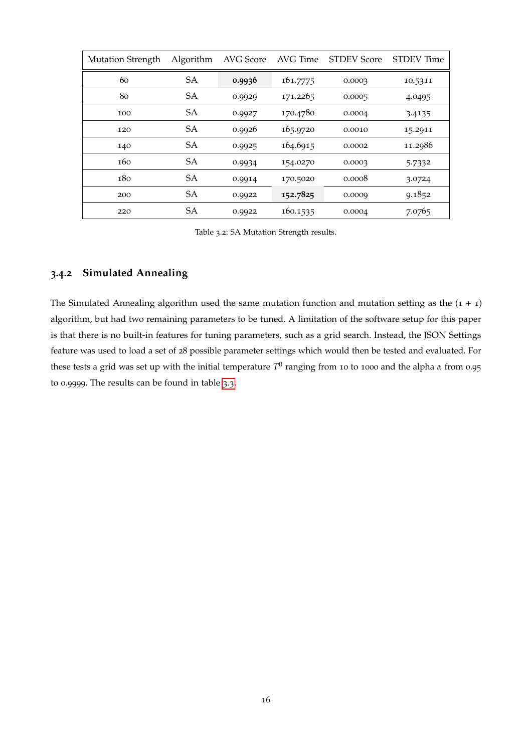<span id="page-19-1"></span>

| <b>Mutation Strength</b> | Algorithm | AVG Score | AVG Time | <b>STDEV Score</b> | <b>STDEV</b> Time |
|--------------------------|-----------|-----------|----------|--------------------|-------------------|
| 60                       | SA        | 0.9936    | 161.7775 | 0.0003             | 10.5311           |
| 80                       | <b>SA</b> | 0.9929    | 171.2265 | 0.0005             | 4.0495            |
| 100                      | <b>SA</b> | 0.9927    | 170.4780 | 0.0004             | 3.4135            |
| 120                      | SA        | 0.9926    | 165.9720 | 0.0010             | 15.2911           |
| 140                      | <b>SA</b> | 0.9925    | 164.6915 | 0.0002             | 11.2986           |
| 160                      | <b>SA</b> | 0.9934    | 154.0270 | 0.0003             | 5.7332            |
| 180                      | <b>SA</b> | 0.9914    | 170.5020 | 0.0008             | 3.0724            |
| 200                      | <b>SA</b> | 0.9922    | 152.7825 | 0.0009             | 9.1852            |
| 220                      | <b>SA</b> | 0.9922    | 160.1535 | 0.0004             | 7.0765            |

Table 3.2: SA Mutation Strength results.

# <span id="page-19-0"></span>**3.4.2 Simulated Annealing**

The Simulated Annealing algorithm used the same mutation function and mutation setting as the  $(1 + 1)$ algorithm, but had two remaining parameters to be tuned. A limitation of the software setup for this paper is that there is no built-in features for tuning parameters, such as a grid search. Instead, the JSON Settings feature was used to load a set of 28 possible parameter settings which would then be tested and evaluated. For these tests a grid was set up with the initial temperature  $T^0$  ranging from 10 to 1000 and the alpha *α* from 0.95 to 0.9999. The results can be found in table [3](#page-20-0).3.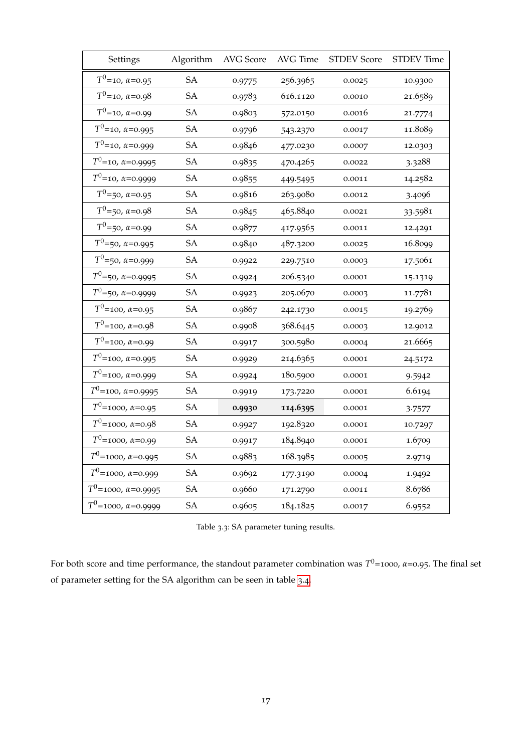<span id="page-20-0"></span>

| Settings                      | Algorithm | AVG Score | AVG Time | <b>STDEV Score</b> | <b>STDEV</b> Time |
|-------------------------------|-----------|-----------|----------|--------------------|-------------------|
| $T^0$ =10, $\alpha$ =0.95     | <b>SA</b> | 0.9775    | 256.3965 | 0.0025             | 10.9300           |
| $T^0$ =10, $\alpha$ =0.98     | <b>SA</b> | 0.9783    | 616.1120 | 0.0010             | 21.6589           |
| $T^0$ =10, $\alpha$ =0.99     | <b>SA</b> | 0.9803    | 572.0150 | 0.0016             | 21.7774           |
| $T^0$ =10, $\alpha$ =0.995    | SA        | 0.9796    | 543.2370 | 0.0017             | 11.8089           |
| $T^0$ =10, $\alpha$ =0.999    | SA        | 0.9846    | 477.0230 | 0.0007             | 12.0303           |
| $T^0$ =10, $\alpha$ =0.9995   | SA        | 0.9835    | 470.4265 | 0.0022             | 3.3288            |
| $T^0$ =10, $\alpha$ =0.9999   | <b>SA</b> | 0.9855    | 449.5495 | 0.0011             | 14.2582           |
| $T^0$ =50, $\alpha$ =0.95     | SA        | 0.9816    | 263.9080 | 0.0012             | 3.4096            |
| $T^0$ =50, $\alpha$ =0.98     | SA        | 0.9845    | 465.8840 | 0.0021             | 33.5981           |
| $T^0$ =50, $\alpha$ =0.99     | SA        | 0.9877    | 417.9565 | 0.0011             | 12.4291           |
| $T^0$ =50, $\alpha$ =0.995    | SA        | 0.9840    | 487.3200 | 0.0025             | 16.8099           |
| $T^0$ =50, $\alpha$ =0.999    | SA        | 0.9922    | 229.7510 | 0.0003             | 17.5061           |
| $T^0$ =50, $\alpha$ =0.9995   | SA        | 0.9924    | 206.5340 | 0.0001             | 15.1319           |
| $T^0$ =50, $\alpha$ =0.9999   | SA        | 0.9923    | 205.0670 | 0.0003             | 11.7781           |
| $T^0$ =100, $\alpha$ =0.95    | <b>SA</b> | 0.9867    | 242.1730 | 0.0015             | 19.2769           |
| $T^0$ =100, $\alpha$ =0.98    | SA        | 0.9908    | 368.6445 | 0.0003             | 12.9012           |
| $T^0$ =100, $\alpha$ =0.99    | SA        | 0.9917    | 300.5980 | 0.0004             | 21.6665           |
| $T^0$ =100, $\alpha$ =0.995   | SA        | 0.9929    | 214.6365 | 0.0001             | 24.5172           |
| $T^0$ =100, $\alpha$ =0.999   | <b>SA</b> | 0.9924    | 180.5900 | 0.0001             | 9.5942            |
| $T^0$ =100, $\alpha$ =0.9995  | SA        | 0.9919    | 173.7220 | 0.0001             | 6.6194            |
| $T^0$ =1000, $\alpha$ =0.95   | SA        | 0.9930    | 114.6395 | 0.0001             | 3.7577            |
| $T^0$ =1000, $\alpha$ =0.98   | SA        | 0.9927    | 192.8320 | 0.0001             | 10.7297           |
| $T^0$ =1000, $\alpha$ =0.99   | SA        | 0.9917    | 184.8940 | 0.0001             | 1.6709            |
| $T^0$ =1000, $\alpha$ =0.995  | SA        | 0.9883    | 168.3985 | 0.0005             | 2.9719            |
| $T^0$ =1000, $\alpha$ =0.999  | SA        | 0.9692    | 177.3190 | 0.0004             | 1.9492            |
| $T^0$ =1000, $\alpha$ =0.9995 | <b>SA</b> | 0.9660    | 171.2790 | 0.0011             | 8.6786            |
| $T^0$ =1000, $\alpha$ =0.9999 | SA        | 0.9605    | 184.1825 | 0.0017             | 6.9552            |

For both score and time performance, the standout parameter combination was *T* <sup>0</sup>=1000, *α*=0.95. The final set of parameter setting for the SA algorithm can be seen in table [3](#page-21-2).4.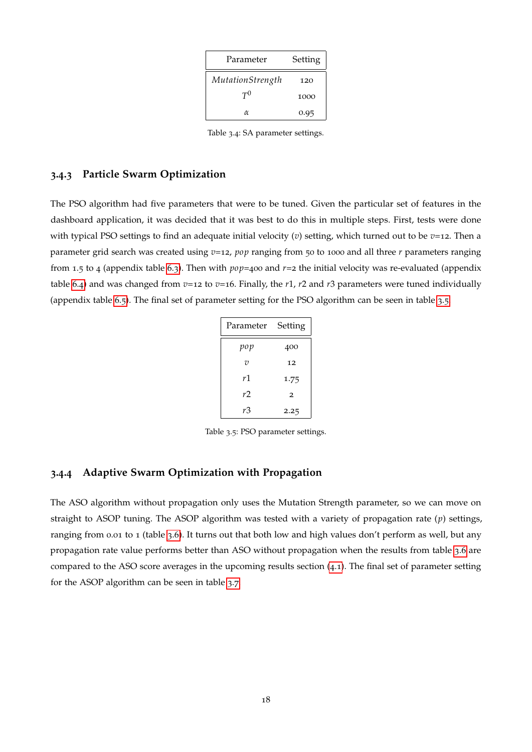| Parameter        | Setting |
|------------------|---------|
| MutationStrength | 120     |
| $T^0$            | 1000    |
| $\alpha$         | 0.95    |

Table 3.4: SA parameter settings.

### <span id="page-21-2"></span><span id="page-21-0"></span>**3.4.3 Particle Swarm Optimization**

<span id="page-21-3"></span>The PSO algorithm had five parameters that were to be tuned. Given the particular set of features in the dashboard application, it was decided that it was best to do this in multiple steps. First, tests were done with typical PSO settings to find an adequate initial velocity (*v*) setting, which turned out to be *v*=12. Then a parameter grid search was created using *v*=12, *pop* ranging from 50 to 1000 and all three *r* parameters ranging from 1.5 to 4 (appendix table [6](#page-35-0).3). Then with *pop*=400 and *r*=2 the initial velocity was re-evaluated (appendix table [6](#page-36-1).4) and was changed from  $v=12$  to  $v=16$ . Finally, the *r*1, *r*2 and *r*3 parameters were tuned individually (appendix table [6](#page-36-2).5). The final set of parameter setting for the PSO algorithm can be seen in table [3](#page-21-3).5.

| Parameter      | Setting        |
|----------------|----------------|
| pop            | 400            |
| $\overline{v}$ | 12             |
| r1             | 1.75           |
| r2             | $\overline{2}$ |
| rЗ             | 2.25           |

Table 3.5: PSO parameter settings.

### <span id="page-21-1"></span>**3.4.4 Adaptive Swarm Optimization with Propagation**

The ASO algorithm without propagation only uses the Mutation Strength parameter, so we can move on straight to ASOP tuning. The ASOP algorithm was tested with a variety of propagation rate (*p*) settings, ranging from 0.01 to 1 (table [3](#page-22-0).6). It turns out that both low and high values don't perform as well, but any propagation rate value performs better than ASO without propagation when the results from table 3.[6](#page-22-0) are compared to the ASO score averages in the upcoming results section ([4](#page-23-3).1). The final set of parameter setting for the ASOP algorithm can be seen in table [3](#page-22-1).7.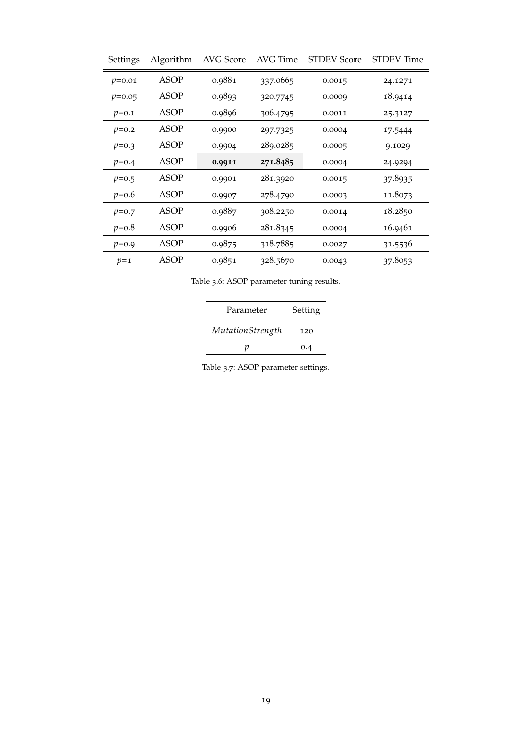<span id="page-22-0"></span>

| Settings | Algorithm | AVG Score | AVG Time | <b>STDEV Score</b> | <b>STDEV</b> Time |
|----------|-----------|-----------|----------|--------------------|-------------------|
| $p=0.01$ | ASOP      | 0.9881    | 337.0665 | 0.0015             | 24.1271           |
| $p=0.05$ | ASOP      | 0.9893    | 320.7745 | 0.0009             | 18.9414           |
| $p=0.1$  | ASOP      | 0.9896    | 306.4795 | 0.0011             | 25.3127           |
| $p=0.2$  | ASOP      | 0.9900    | 297.7325 | 0.0004             | 17.5444           |
| $p=0.3$  | ASOP      | 0.9904    | 289.0285 | 0.0005             | 9.1029            |
| $p=0.4$  | ASOP      | 0.9911    | 271.8485 | 0.0004             | 24.9294           |
| $p=0.5$  | ASOP      | 0.9901    | 281.3920 | 0.0015             | 37.8935           |
| $p=0.6$  | ASOP      | 0.9907    | 278.4790 | 0.0003             | 11.8073           |
| $p=0.7$  | ASOP      | 0.9887    | 308.2250 | 0.0014             | 18.2850           |
| $p=0.8$  | ASOP      | 0.9906    | 281.8345 | 0.0004             | 16.9461           |
| $p=0.9$  | ASOP      | 0.9875    | 318.7885 | 0.0027             | 31.5536           |
| $p=1$    | ASOP      | 0.9851    | 328.5670 | 0.0043             | 37.8053           |

<span id="page-22-1"></span>Table 3.6: ASOP parameter tuning results.

| Parameter        | Setting |
|------------------|---------|
| MutationStrength | 120     |
|                  | 0.4     |

Table 3.7: ASOP parameter settings.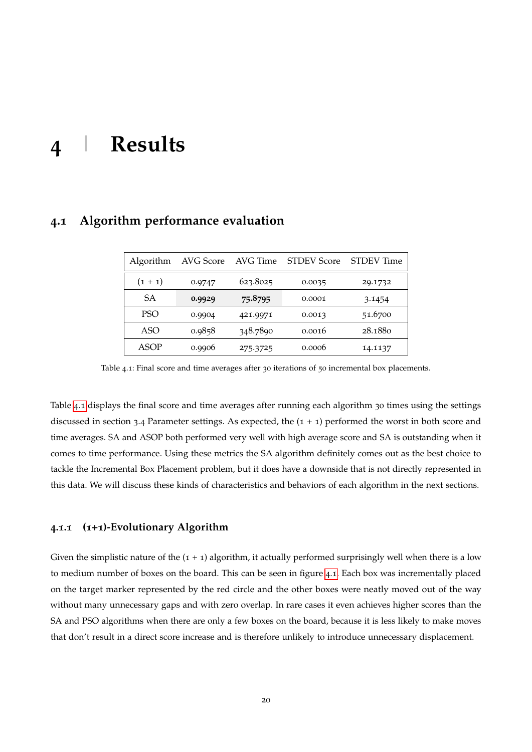# <span id="page-23-0"></span>**4 | Results**

| Algorithm       | AVG Score | AVG Time | <b>STDEV Score</b> | <b>STDEV</b> Time |
|-----------------|-----------|----------|--------------------|-------------------|
| $(1 + 1)$       | 0.9747    | 623.8025 | 0.0035             | 29.1732           |
| SА              | 0.9929    | 75.8795  | 0.0001             | 3.1454            |
| PSO <sup></sup> | 0.9904    | 421.9971 | 0.0013             | 51.6700           |
| ASO             | 0.9858    | 348.7890 | 0.0016             | 28.1880           |
| ASOP            | 0.9906    | 275.3725 | 0.0006             | 14.1137           |

# <span id="page-23-3"></span><span id="page-23-1"></span>**4.1 Algorithm performance evaluation**

Table 4.1: Final score and time averages after 30 iterations of 50 incremental box placements.

Table [4](#page-23-3).1 displays the final score and time averages after running each algorithm 30 times using the settings discussed in section 3.4 Parameter settings. As expected, the  $(1 + 1)$  performed the worst in both score and time averages. SA and ASOP both performed very well with high average score and SA is outstanding when it comes to time performance. Using these metrics the SA algorithm definitely comes out as the best choice to tackle the Incremental Box Placement problem, but it does have a downside that is not directly represented in this data. We will discuss these kinds of characteristics and behaviors of each algorithm in the next sections.

### <span id="page-23-2"></span>**4.1.1 (1+1)-Evolutionary Algorithm**

Given the simplistic nature of the  $(1 + 1)$  algorithm, it actually performed surprisingly well when there is a low to medium number of boxes on the board. This can be seen in figure [4](#page-24-0).1. Each box was incrementally placed on the target marker represented by the red circle and the other boxes were neatly moved out of the way without many unnecessary gaps and with zero overlap. In rare cases it even achieves higher scores than the SA and PSO algorithms when there are only a few boxes on the board, because it is less likely to make moves that don't result in a direct score increase and is therefore unlikely to introduce unnecessary displacement.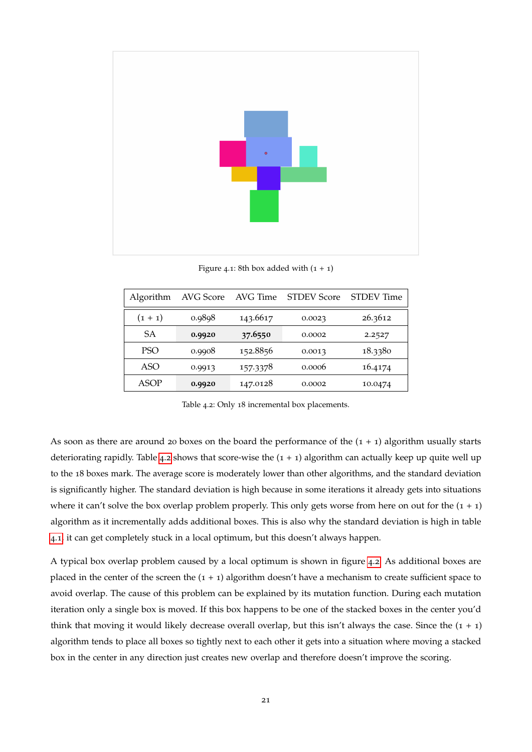<span id="page-24-0"></span>

Figure 4.1: 8th box added with  $(1 + 1)$ 

<span id="page-24-1"></span>

| Algorithm        | AVG Score | AVG Time | <b>STDEV Score</b> | STDEV Time |
|------------------|-----------|----------|--------------------|------------|
| $(1 + 1)$        | 0.9898    | 143.6617 | 0.0023             | 26.3612    |
| SА               | 0.9920    | 37.6550  | 0.0002             | 2.2527     |
| PSO <sup>-</sup> | 0.9908    | 152.8856 | 0.0013             | 18.3380    |
| ASO              | 0.9913    | 157.3378 | 0.0006             | 16.4174    |
| ASOP             | 0.9920    | 147.0128 | 0.0002             | 10.0474    |

Table 4.2: Only 18 incremental box placements.

As soon as there are around 20 boxes on the board the performance of the  $(1 + 1)$  algorithm usually starts deteriorating rapidly. Table [4](#page-24-1).2 shows that score-wise the  $(1 + 1)$  algorithm can actually keep up quite well up to the 18 boxes mark. The average score is moderately lower than other algorithms, and the standard deviation is significantly higher. The standard deviation is high because in some iterations it already gets into situations where it can't solve the box overlap problem properly. This only gets worse from here on out for the  $(1 + 1)$ algorithm as it incrementally adds additional boxes. This is also why the standard deviation is high in table [4](#page-24-0).1, it can get completely stuck in a local optimum, but this doesn't always happen.

A typical box overlap problem caused by a local optimum is shown in figure [4](#page-25-1).2. As additional boxes are placed in the center of the screen the  $(1 + 1)$  algorithm doesn't have a mechanism to create sufficient space to avoid overlap. The cause of this problem can be explained by its mutation function. During each mutation iteration only a single box is moved. If this box happens to be one of the stacked boxes in the center you'd think that moving it would likely decrease overall overlap, but this isn't always the case. Since the  $(1 + 1)$ algorithm tends to place all boxes so tightly next to each other it gets into a situation where moving a stacked box in the center in any direction just creates new overlap and therefore doesn't improve the scoring.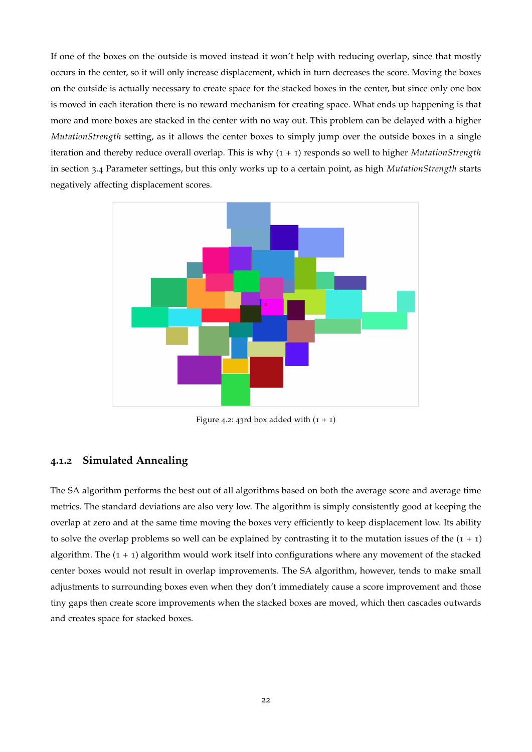If one of the boxes on the outside is moved instead it won't help with reducing overlap, since that mostly occurs in the center, so it will only increase displacement, which in turn decreases the score. Moving the boxes on the outside is actually necessary to create space for the stacked boxes in the center, but since only one box is moved in each iteration there is no reward mechanism for creating space. What ends up happening is that more and more boxes are stacked in the center with no way out. This problem can be delayed with a higher *MutationStrength* setting, as it allows the center boxes to simply jump over the outside boxes in a single iteration and thereby reduce overall overlap. This is why (1 + 1) responds so well to higher *MutationStrength* in section 3.4 Parameter settings, but this only works up to a certain point, as high *MutationStrength* starts negatively affecting displacement scores.

<span id="page-25-1"></span>

Figure 4.2: 43rd box added with  $(1 + 1)$ 

### <span id="page-25-0"></span>**4.1.2 Simulated Annealing**

The SA algorithm performs the best out of all algorithms based on both the average score and average time metrics. The standard deviations are also very low. The algorithm is simply consistently good at keeping the overlap at zero and at the same time moving the boxes very efficiently to keep displacement low. Its ability to solve the overlap problems so well can be explained by contrasting it to the mutation issues of the  $(1 + 1)$ algorithm. The  $(1 + 1)$  algorithm would work itself into configurations where any movement of the stacked center boxes would not result in overlap improvements. The SA algorithm, however, tends to make small adjustments to surrounding boxes even when they don't immediately cause a score improvement and those tiny gaps then create score improvements when the stacked boxes are moved, which then cascades outwards and creates space for stacked boxes.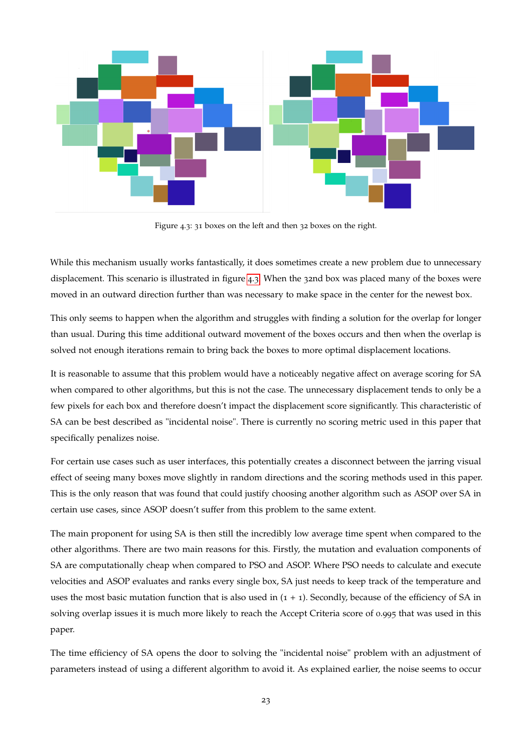<span id="page-26-0"></span>

Figure 4.3: 31 boxes on the left and then 32 boxes on the right.

While this mechanism usually works fantastically, it does sometimes create a new problem due to unnecessary displacement. This scenario is illustrated in figure [4](#page-26-0).3. When the 32nd box was placed many of the boxes were moved in an outward direction further than was necessary to make space in the center for the newest box.

This only seems to happen when the algorithm and struggles with finding a solution for the overlap for longer than usual. During this time additional outward movement of the boxes occurs and then when the overlap is solved not enough iterations remain to bring back the boxes to more optimal displacement locations.

It is reasonable to assume that this problem would have a noticeably negative affect on average scoring for SA when compared to other algorithms, but this is not the case. The unnecessary displacement tends to only be a few pixels for each box and therefore doesn't impact the displacement score significantly. This characteristic of SA can be best described as "incidental noise". There is currently no scoring metric used in this paper that specifically penalizes noise.

For certain use cases such as user interfaces, this potentially creates a disconnect between the jarring visual effect of seeing many boxes move slightly in random directions and the scoring methods used in this paper. This is the only reason that was found that could justify choosing another algorithm such as ASOP over SA in certain use cases, since ASOP doesn't suffer from this problem to the same extent.

The main proponent for using SA is then still the incredibly low average time spent when compared to the other algorithms. There are two main reasons for this. Firstly, the mutation and evaluation components of SA are computationally cheap when compared to PSO and ASOP. Where PSO needs to calculate and execute velocities and ASOP evaluates and ranks every single box, SA just needs to keep track of the temperature and uses the most basic mutation function that is also used in  $(1 + 1)$ . Secondly, because of the efficiency of SA in solving overlap issues it is much more likely to reach the Accept Criteria score of 0.995 that was used in this paper.

The time efficiency of SA opens the door to solving the "incidental noise" problem with an adjustment of parameters instead of using a different algorithm to avoid it. As explained earlier, the noise seems to occur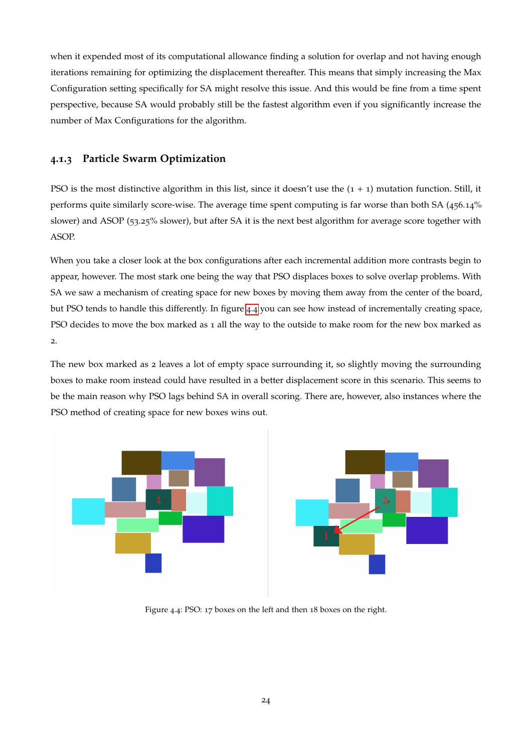when it expended most of its computational allowance finding a solution for overlap and not having enough iterations remaining for optimizing the displacement thereafter. This means that simply increasing the Max Configuration setting specifically for SA might resolve this issue. And this would be fine from a time spent perspective, because SA would probably still be the fastest algorithm even if you significantly increase the number of Max Configurations for the algorithm.

# <span id="page-27-0"></span>**4.1.3 Particle Swarm Optimization**

PSO is the most distinctive algorithm in this list, since it doesn't use the  $(1 + 1)$  mutation function. Still, it performs quite similarly score-wise. The average time spent computing is far worse than both SA (456.14% slower) and ASOP (53.25% slower), but after SA it is the next best algorithm for average score together with ASOP.

When you take a closer look at the box configurations after each incremental addition more contrasts begin to appear, however. The most stark one being the way that PSO displaces boxes to solve overlap problems. With SA we saw a mechanism of creating space for new boxes by moving them away from the center of the board, but PSO tends to handle this differently. In figure [4](#page-27-1).4 you can see how instead of incrementally creating space, PSO decides to move the box marked as 1 all the way to the outside to make room for the new box marked as 2.

The new box marked as 2 leaves a lot of empty space surrounding it, so slightly moving the surrounding boxes to make room instead could have resulted in a better displacement score in this scenario. This seems to be the main reason why PSO lags behind SA in overall scoring. There are, however, also instances where the PSO method of creating space for new boxes wins out.

<span id="page-27-1"></span>

Figure 4.4: PSO: 17 boxes on the left and then 18 boxes on the right.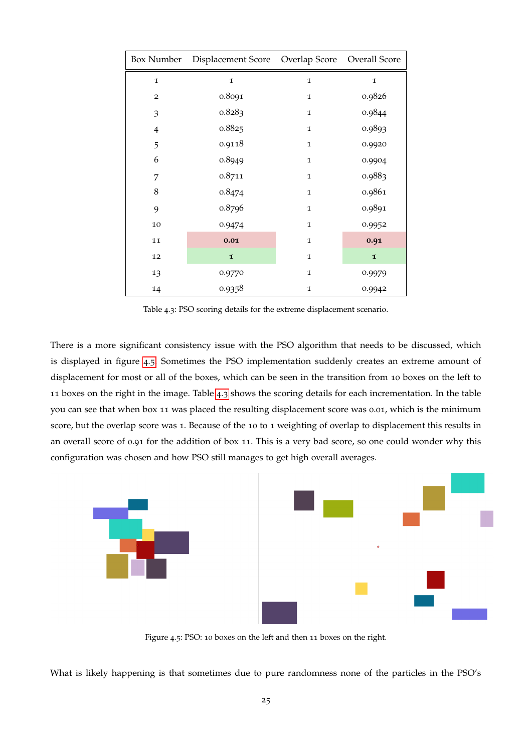<span id="page-28-1"></span>

|                | Box Number  Displacement Score  Overlap Score  Overall Score |              |              |
|----------------|--------------------------------------------------------------|--------------|--------------|
| $\mathbf{1}$   | $\mathbf{1}$                                                 | $\mathbf{1}$ | $\mathbf{I}$ |
| $\overline{a}$ | 0.8091                                                       | $\mathbf 1$  | 0.9826       |
| 3              | 0.8283                                                       | $\mathbf 1$  | 0.9844       |
| $\overline{4}$ | 0.8825                                                       | $\mathbf 1$  | 0.9893       |
| 5              | 0.9118                                                       | 1            | 0.9920       |
| 6              | 0.8949                                                       | $\mathbf 1$  | 0.9904       |
| 7              | 0.8711                                                       | $\mathbf 1$  | 0.9883       |
| 8              | 0.8474                                                       | $\mathbf 1$  | 0.9861       |
| 9              | 0.8796                                                       | $\mathbf 1$  | 0.9891       |
| 10             | 0.9474                                                       | $\mathbf 1$  | 0.9952       |
| 11             | 0.01                                                         | $\mathbf 1$  | 0.91         |
| 12             | $\mathbf{I}$                                                 | 1            | $\mathbf{I}$ |
| 13             | 0.9770                                                       | $\mathbf 1$  | 0.9979       |
| 14             | 0.9358                                                       | 1            | 0.9942       |

Table 4.3: PSO scoring details for the extreme displacement scenario.

There is a more significant consistency issue with the PSO algorithm that needs to be discussed, which is displayed in figure [4](#page-28-0).5. Sometimes the PSO implementation suddenly creates an extreme amount of displacement for most or all of the boxes, which can be seen in the transition from 10 boxes on the left to 11 boxes on the right in the image. Table [4](#page-28-1).3 shows the scoring details for each incrementation. In the table you can see that when box 11 was placed the resulting displacement score was 0.01, which is the minimum score, but the overlap score was 1. Because of the 10 to 1 weighting of overlap to displacement this results in an overall score of 0.91 for the addition of box 11. This is a very bad score, so one could wonder why this configuration was chosen and how PSO still manages to get high overall averages.

<span id="page-28-0"></span>

Figure 4.5: PSO: 10 boxes on the left and then 11 boxes on the right.

What is likely happening is that sometimes due to pure randomness none of the particles in the PSO's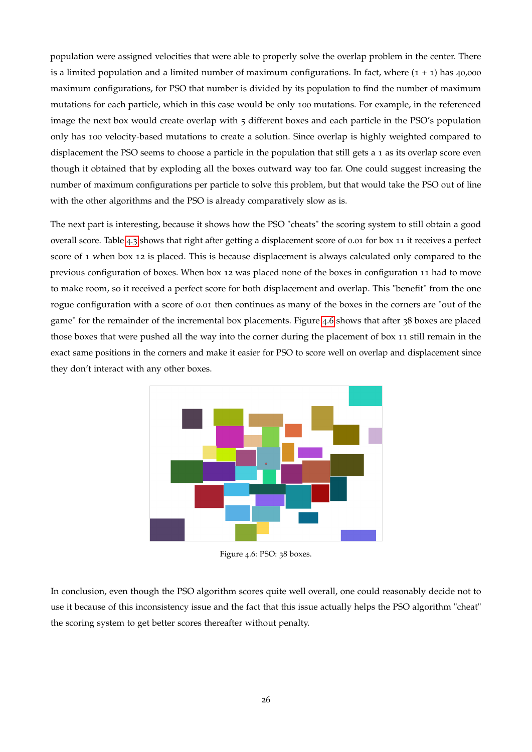population were assigned velocities that were able to properly solve the overlap problem in the center. There is a limited population and a limited number of maximum configurations. In fact, where  $(1 + 1)$  has 40,000 maximum configurations, for PSO that number is divided by its population to find the number of maximum mutations for each particle, which in this case would be only 100 mutations. For example, in the referenced image the next box would create overlap with 5 different boxes and each particle in the PSO's population only has 100 velocity-based mutations to create a solution. Since overlap is highly weighted compared to displacement the PSO seems to choose a particle in the population that still gets a 1 as its overlap score even though it obtained that by exploding all the boxes outward way too far. One could suggest increasing the number of maximum configurations per particle to solve this problem, but that would take the PSO out of line with the other algorithms and the PSO is already comparatively slow as is.

The next part is interesting, because it shows how the PSO "cheats" the scoring system to still obtain a good overall score. Table [4](#page-28-1).3 shows that right after getting a displacement score of 0.01 for box 11 it receives a perfect score of 1 when box 12 is placed. This is because displacement is always calculated only compared to the previous configuration of boxes. When box 12 was placed none of the boxes in configuration 11 had to move to make room, so it received a perfect score for both displacement and overlap. This "benefit" from the one rogue configuration with a score of 0.01 then continues as many of the boxes in the corners are "out of the game" for the remainder of the incremental box placements. Figure [4](#page-29-1).6 shows that after 38 boxes are placed those boxes that were pushed all the way into the corner during the placement of box 11 still remain in the exact same positions in the corners and make it easier for PSO to score well on overlap and displacement since they don't interact with any other boxes.

<span id="page-29-1"></span>

Figure 4.6: PSO: 38 boxes.

<span id="page-29-0"></span>In conclusion, even though the PSO algorithm scores quite well overall, one could reasonably decide not to use it because of this inconsistency issue and the fact that this issue actually helps the PSO algorithm "cheat" the scoring system to get better scores thereafter without penalty.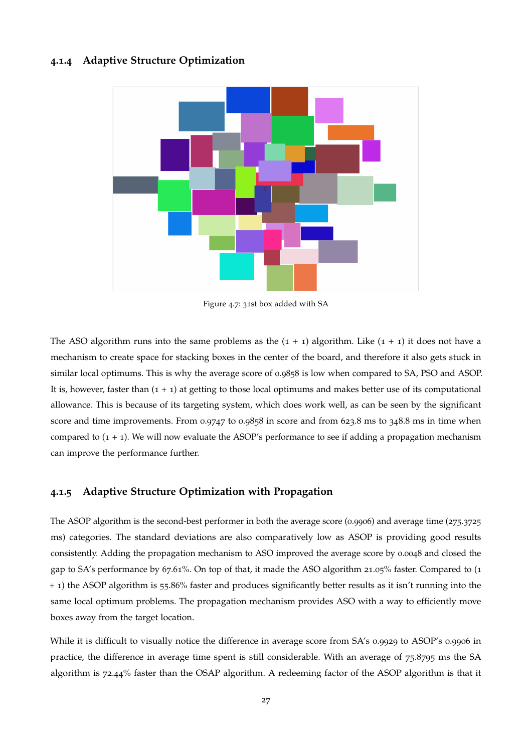#### **4.1.4 Adaptive Structure Optimization**



Figure 4.7: 31st box added with SA

The ASO algorithm runs into the same problems as the  $(1 + 1)$  algorithm. Like  $(1 + 1)$  it does not have a mechanism to create space for stacking boxes in the center of the board, and therefore it also gets stuck in similar local optimums. This is why the average score of 0.9858 is low when compared to SA, PSO and ASOP. It is, however, faster than  $(1 + 1)$  at getting to those local optimums and makes better use of its computational allowance. This is because of its targeting system, which does work well, as can be seen by the significant score and time improvements. From 0.9747 to 0.9858 in score and from 623.8 ms to 348.8 ms in time when compared to  $(1 + 1)$ . We will now evaluate the ASOP's performance to see if adding a propagation mechanism can improve the performance further.

#### <span id="page-30-0"></span>**4.1.5 Adaptive Structure Optimization with Propagation**

The ASOP algorithm is the second-best performer in both the average score (0.9906) and average time (275.3725 ms) categories. The standard deviations are also comparatively low as ASOP is providing good results consistently. Adding the propagation mechanism to ASO improved the average score by 0.0048 and closed the gap to SA's performance by 67.61%. On top of that, it made the ASO algorithm 21.05% faster. Compared to (1 + 1) the ASOP algorithm is 55.86% faster and produces significantly better results as it isn't running into the same local optimum problems. The propagation mechanism provides ASO with a way to efficiently move boxes away from the target location.

While it is difficult to visually notice the difference in average score from SA's 0.9929 to ASOP's 0.9906 in practice, the difference in average time spent is still considerable. With an average of 75.8795 ms the SA algorithm is 72.44% faster than the OSAP algorithm. A redeeming factor of the ASOP algorithm is that it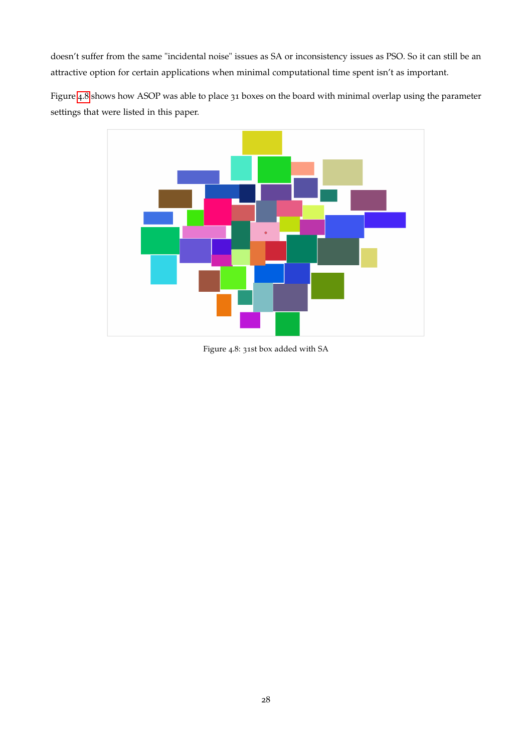doesn't suffer from the same "incidental noise" issues as SA or inconsistency issues as PSO. So it can still be an attractive option for certain applications when minimal computational time spent isn't as important.

<span id="page-31-0"></span>Figure [4](#page-31-0).8 shows how ASOP was able to place 31 boxes on the board with minimal overlap using the parameter settings that were listed in this paper.



Figure 4.8: 31st box added with SA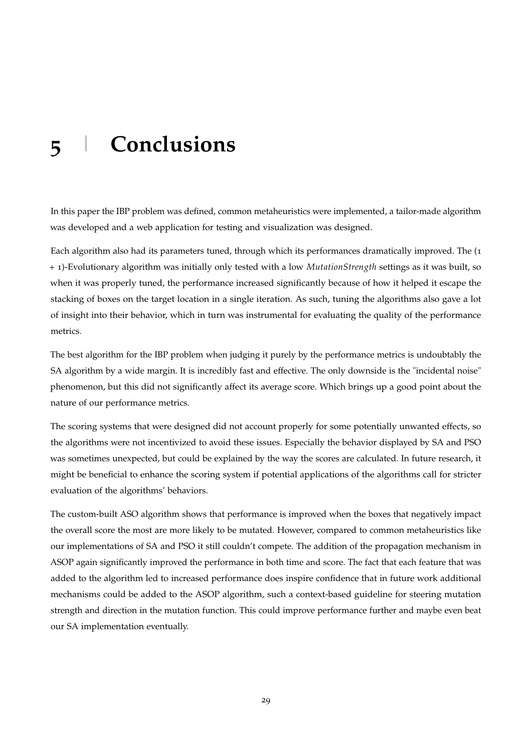# <span id="page-32-0"></span>**5 | Conclusions**

In this paper the IBP problem was defined, common metaheuristics were implemented, a tailor-made algorithm was developed and a web application for testing and visualization was designed.

Each algorithm also had its parameters tuned, through which its performances dramatically improved. The (1 + 1)-Evolutionary algorithm was initially only tested with a low *MutationStrength* settings as it was built, so when it was properly tuned, the performance increased significantly because of how it helped it escape the stacking of boxes on the target location in a single iteration. As such, tuning the algorithms also gave a lot of insight into their behavior, which in turn was instrumental for evaluating the quality of the performance metrics.

The best algorithm for the IBP problem when judging it purely by the performance metrics is undoubtably the SA algorithm by a wide margin. It is incredibly fast and effective. The only downside is the "incidental noise" phenomenon, but this did not significantly affect its average score. Which brings up a good point about the nature of our performance metrics.

The scoring systems that were designed did not account properly for some potentially unwanted effects, so the algorithms were not incentivized to avoid these issues. Especially the behavior displayed by SA and PSO was sometimes unexpected, but could be explained by the way the scores are calculated. In future research, it might be beneficial to enhance the scoring system if potential applications of the algorithms call for stricter evaluation of the algorithms' behaviors.

The custom-built ASO algorithm shows that performance is improved when the boxes that negatively impact the overall score the most are more likely to be mutated. However, compared to common metaheuristics like our implementations of SA and PSO it still couldn't compete. The addition of the propagation mechanism in ASOP again significantly improved the performance in both time and score. The fact that each feature that was added to the algorithm led to increased performance does inspire confidence that in future work additional mechanisms could be added to the ASOP algorithm, such a context-based guideline for steering mutation strength and direction in the mutation function. This could improve performance further and maybe even beat our SA implementation eventually.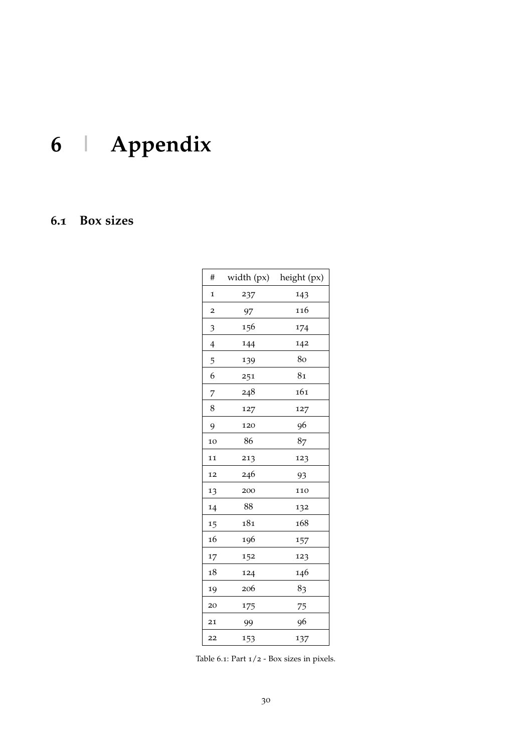# <span id="page-33-0"></span>**6 | Appendix**

# <span id="page-33-2"></span><span id="page-33-1"></span>**6.1 Box sizes**

| $\#$                    | width (px) | height (px)    |
|-------------------------|------------|----------------|
| $\mathbf 1$             | 237        | 143            |
| $\overline{\mathbf{c}}$ | 97         | 116            |
| 3                       | 156        | 174            |
| $\overline{4}$          | 144        | 142            |
| 5                       | 139        | 80             |
| 6                       | 251        | 8 <sub>1</sub> |
| 7                       | 248        | 161            |
| 8                       | 127        | 127            |
| 9                       | 120        | 96             |
| 10                      | 86         | 87             |
| 11                      | 213        | 123            |
| 12                      | 246        | 93             |
| 13                      | 200        | 110            |
| 14                      | 88         | 132            |
| 15                      | 181        | 168            |
| 16                      | 196        | 157            |
| 17                      | 152        | 123            |
| 18                      | 124        | 146            |
| 19                      | 206        | 83             |
| 20                      | 175        | 75             |
| 21                      | 99         | 96             |
| 22                      | 153        | 137            |

Table 6.1: Part 1/2 - Box sizes in pixels.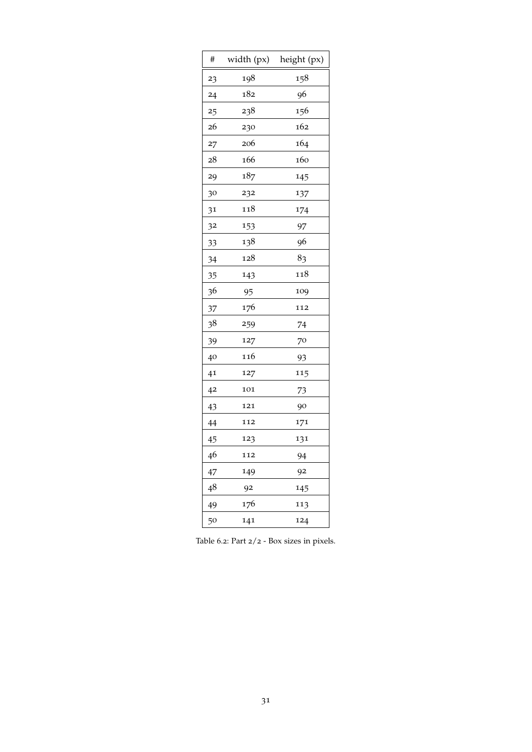| #  | width (px) | height (px) |
|----|------------|-------------|
| 23 | 198        | 158         |
| 24 | 182        | 96          |
| 25 | 238        | 156         |
| 26 | 230        | 162         |
| 27 | 206        | 164         |
| 28 | 166        | 160         |
| 29 | 187        | 145         |
| 30 | 232        | 137         |
| 31 | 118        | 174         |
| 32 | 153        | 97          |
| 33 | 138        | 96          |
| 34 | 128        | 83          |
| 35 | 143        | 118         |
| 36 | 95         | 109         |
| 37 | 176        | 112         |
| 38 | 259        | 74          |
| 39 | 127        | 70          |
| 40 | 116        | 93          |
| 41 | 127        | 115         |
| 42 | 101        | 73          |
| 43 | 121        | 90          |
| 44 | 112        | 171         |
| 45 | 123        | 131         |
| 46 | 112        | 94          |
| 47 | 149        | 92          |
| 48 | 92         | 145         |
| 49 | 176        | 113         |
| 50 | 141        | 124         |

<span id="page-34-0"></span>Table 6.2: Part 2/2 - Box sizes in pixels.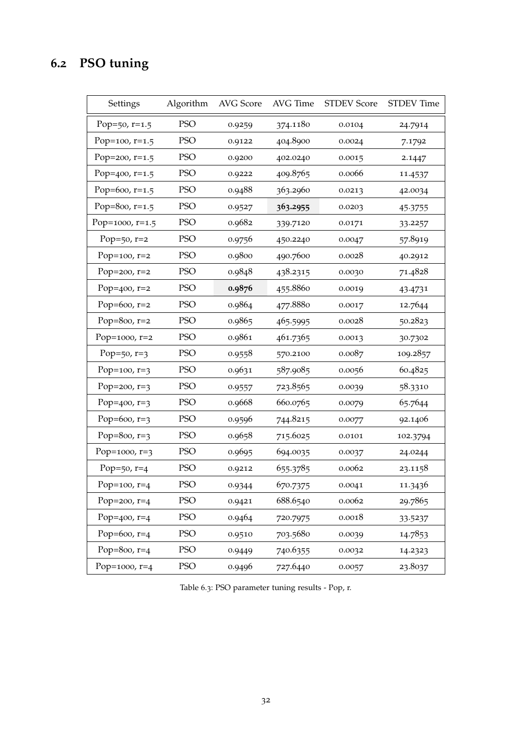# <span id="page-35-0"></span>**6.2 PSO tuning**

| Settings          | Algorithm  | AVG Score | AVG Time | <b>STDEV Score</b> | <b>STDEV</b> Time |
|-------------------|------------|-----------|----------|--------------------|-------------------|
| Pop=50, $r=1.5$   | <b>PSO</b> | 0.9259    | 374.1180 | 0.0104             | 24.7914           |
| Pop=100, $r=1.5$  | <b>PSO</b> | 0.9122    | 404.8900 | 0.0024             | 7.1792            |
| Pop=200, $r=1.5$  | <b>PSO</b> | 0.9200    | 402.0240 | 0.0015             | 2.1447            |
| Pop= $400, r=1.5$ | <b>PSO</b> | 0.9222    | 409.8765 | 0.0066             | 11.4537           |
| Pop=600, $r=1.5$  | <b>PSO</b> | 0.9488    | 363.2960 | 0.0213             | 42.0034           |
| Pop=800, $r=1.5$  | <b>PSO</b> | 0.9527    | 363.2955 | 0.0203             | 45.3755           |
| Pop=1000, r=1.5   | <b>PSO</b> | 0.9682    | 339.7120 | 0.0171             | 33.2257           |
| Pop= $50, r=2$    | <b>PSO</b> | 0.9756    | 450.2240 | 0.0047             | 57.8919           |
| Pop=100, $r=2$    | <b>PSO</b> | 0.9800    | 490.7600 | 0.0028             | 40.2912           |
| Pop=200, $r=2$    | <b>PSO</b> | 0.9848    | 438.2315 | 0.0030             | 71.4828           |
| Pop= $400, r=2$   | <b>PSO</b> | 0.9876    | 455.8860 | 0.0019             | 43.4731           |
| Pop=600, $r=2$    | <b>PSO</b> | 0.9864    | 477.8880 | 0.0017             | 12.7644           |
| Pop=800, $r=2$    | <b>PSO</b> | 0.9865    | 465.5995 | 0.0028             | 50.2823           |
| Pop=1000, $r=2$   | <b>PSO</b> | 0.9861    | 461.7365 | 0.0013             | 30.7302           |
| Pop=50, $r=3$     | <b>PSO</b> | 0.9558    | 570.2100 | 0.0087             | 109.2857          |
| Pop=100, $r=3$    | <b>PSO</b> | 0.9631    | 587.9085 | 0.0056             | 60.4825           |
| Pop=200, $r=3$    | <b>PSO</b> | 0.9557    | 723.8565 | 0.0039             | 58.3310           |
| Pop= $400, r=3$   | <b>PSO</b> | 0.9668    | 660.0765 | 0.0079             | 65.7644           |
| Pop=600, $r=3$    | <b>PSO</b> | 0.9596    | 744.8215 | 0.0077             | 92.1406           |
| Pop=800, $r=3$    | <b>PSO</b> | 0.9658    | 715.6025 | 0.0101             | 102.3794          |
| Pop=1000, $r=3$   | <b>PSO</b> | 0.9695    | 694.0035 | 0.0037             | 24.0244           |
| Pop=50, $r=4$     | <b>PSO</b> | 0.9212    | 655.3785 | 0.0062             | 23.1158           |
| Pop=100, $r=4$    | <b>PSO</b> | 0.9344    | 670.7375 | 0.0041             | 11.3436           |
| Pop=200, $r=4$    | <b>PSO</b> | 0.9421    | 688.6540 | 0.0062             | 29.7865           |
| Pop= $400, r=4$   | <b>PSO</b> | 0.9464    | 720.7975 | 0.0018             | 33.5237           |
| Pop=600, $r=4$    | <b>PSO</b> | 0.9510    | 703.5680 | 0.0039             | 14.7853           |
| Pop=800, $r=4$    | PSO        | 0.9449    | 740.6355 | 0.0032             | 14.2323           |
| Pop=1000, $r=4$   | PSO        | 0.9496    | 727.6440 | 0.0057             | 23.8037           |

Table 6.3: PSO parameter tuning results - Pop, r.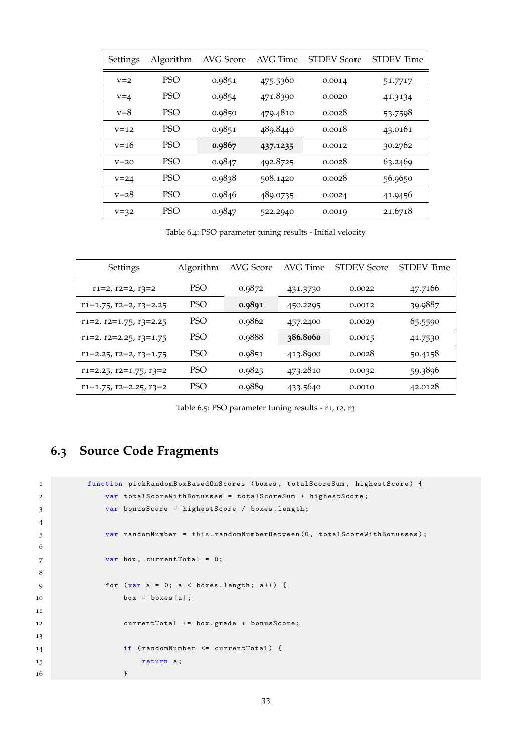<span id="page-36-1"></span>

| Settings | Algorithm  | AVG Score | AVG Time | <b>STDEV Score</b> | <b>STDEV</b> Time |
|----------|------------|-----------|----------|--------------------|-------------------|
| $V = 2$  | <b>PSO</b> | 0.9851    | 475.5360 | 0.0014             | 51.7717           |
| $v = 4$  | <b>PSO</b> | 0.9854    | 471.8390 | 0.0020             | 41.3134           |
| $v=8$    | <b>PSO</b> | 0.9850    | 479.4810 | 0.0028             | 53.7598           |
| $V = 12$ | <b>PSO</b> | 0.9851    | 489.8440 | 0.0018             | 43.0161           |
| $v = 16$ | <b>PSO</b> | 0.9867    | 437.1235 | 0.0012             | 30.2762           |
| $V = 20$ | <b>PSO</b> | 0.9847    | 492.8725 | 0.0028             | 63.2469           |
| $V = 24$ | <b>PSO</b> | 0.9838    | 508.1420 | 0.0028             | 56.9650           |
| $v = 28$ | <b>PSO</b> | 0.9846    | 489.0735 | 0.0024             | 41.9456           |
| $V=32$   | <b>PSO</b> | 0.9847    | 522.2940 | 0.0019             | 21.6718           |

Table 6.4: PSO parameter tuning results - Initial velocity

<span id="page-36-2"></span>

| Settings                             | Algorithm  | AVG Score | AVG Time | <b>STDEV Score</b> | STDEV Time |
|--------------------------------------|------------|-----------|----------|--------------------|------------|
| $r1=2, r2=2, r3=2$                   | <b>PSO</b> | 0.9872    | 431.3730 | 0.0022             | 47.7166    |
| $r1=1.75$ , $r2=2$ , $r3=2.25$       | PSO        | 0.9891    | 450.2295 | 0.0012             | 39.9887    |
| $r1=2$ , $r2=1.75$ , $r3=2.25$       | PSO        | 0.9862    | 457.2400 | 0.0029             | 65.5590    |
| $r1=2, r2=2.25, r3=1.75$             | <b>PSO</b> | 0.9888    | 386.8060 | 0.0015             | 41.7530    |
| $r1 = 2.25$ , $r2 = 2$ , $r3 = 1.75$ | <b>PSO</b> | 0.9851    | 413.8900 | 0.0028             | 50.4158    |
| $r1=2.25$ , $r2=1.75$ , $r3=2$       | <b>PSO</b> | 0.9825    | 473.2810 | 0.0032             | 59.3896    |
| $r1=1.75$ , $r2=2.25$ , $r3=2$       | PSO        | 0.9889    | 433.5640 | 0.0010             | 42.0128    |

Table 6.5: PSO parameter tuning results - r1, r2, r3

# <span id="page-36-0"></span>**6.3 Source Code Fragments**

```
1 function pickRandomBoxBasedOnScores (boxes , totalScoreSum , highestScore ) {
2 var totalScoreWithBonusses = totalScoreSum + highestScore ;
3 var bonusScore = highestScore / boxes . length ;
4
5 var randomNumber = this . randomNumberBetween (0 , totalScoreWithBonusses );
6
7 var box, currentTotal = 0;
8
9 for (var a = 0; a < boxes.length; a++) {
10 \text{box} = \text{boxes} [a];11
12 currentTotal += box . grade + bonusScore ;
13
14 if ( randomNumber <= currentTotal ) {
15 return a;
16 }
```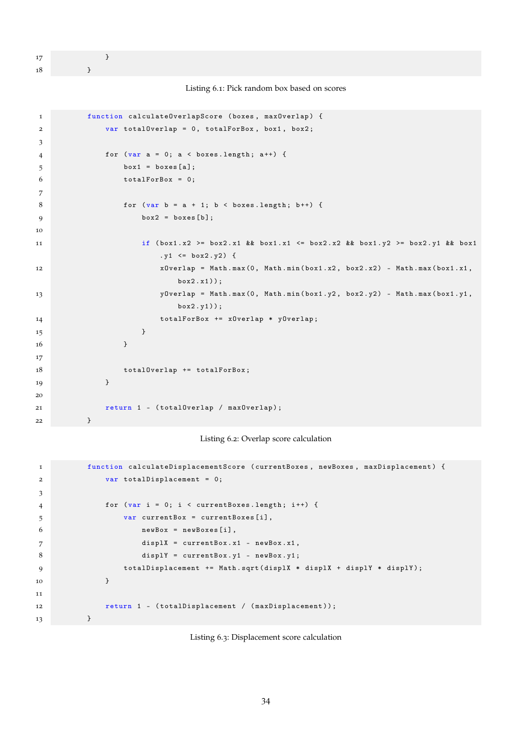17 }

18 }

```
Listing 6.1: Pick random box based on scores
```

```
1 function calculateOverlapScore (boxes, maxOverlap) {
2 var totalOverlap = 0 , totalForBox , box1 , box2 ;
3
4 for (var a = 0; a < box.length; a++) {
5 box1 = \text{boxes} [a];6 totalForBox = 0;
7
8 for \{var b = a + 1; b < b oxes. length; b++) {
9 box2 = boxes [b];
10
11 if \frac{1}{1} if \frac{1}{2} = box1.x2 >= box2.x1 && box1.x1 <= box2.x2 && box1.y2 >= box2.y1 && box1
                     .y1 \le box2.y2) {
12 xOverlap = Math .max (0 , Math .min ( box1 .x2 , box2 .x2) - Math . max ( box1 .x1 ,
                        box2.x1) ;
13 yourlap = Math.max (0, Math.min (box1.y2, box2.y2) - Math.max (box1.y1,
                        box2 .y1));
14 totalForBox += x0verlap * y0verlap;
15 }
16 }
17
18 total0verlap += totalForBox;
19 }
20
21 return 1 - ( totalOverlap / maxOverlap );
22 }
```
#### Listing 6.2: Overlap score calculation

```
1 function calculateDisplacementScore ( currentBoxes , newBoxes , maxDisplacement ) {
2 var totalDisplacement = 0;
3
4 for (var i = 0; i < currentBoxes.length; i++) {
5 var currentBox = currentBoxes [i] ,
6 newBox = newBoxes [i],
7 displX = currentBox .x1 - newBox .x1 ,
8 displY = currentBox.y1 - newBox.y1;
9 totalDisplacement += Math.sqrt(displX * displX + displY * displY);
10 }
11
12 return 1 - (totalDisplacement / (maxDisplacement));
13    }
```
<span id="page-37-0"></span>Listing 6.3: Displacement score calculation